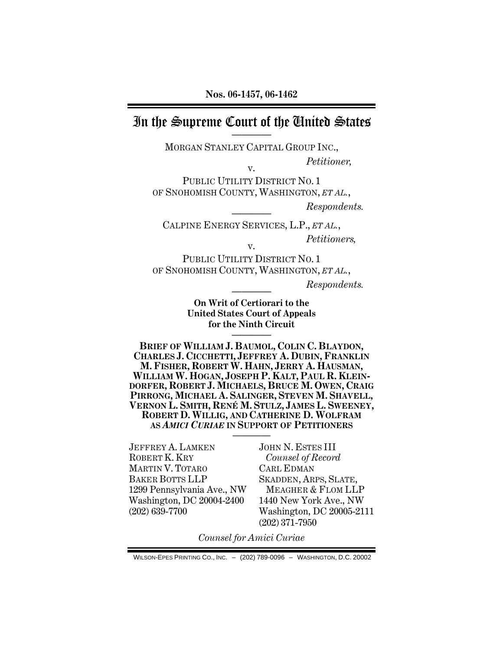# In the Supreme Court of the Cinited States

MORGAN STANLEY CAPITAL GROUP INC.,

v.

 *Petitioner,* 

PUBLIC UTILITY DISTRICT NO. 1 OF SNOHOMISH COUNTY, WASHINGTON, *ET AL.*,

 $$ 

CALPINE ENERGY SERVICES, L.P., *ET AL.*,  *Petitioners,*  v.

PUBLIC UTILITY DISTRICT NO. 1 OF SNOHOMISH COUNTY, WASHINGTON, *ET AL.*,

 $$ 

**On Writ of Certiorari to the United States Court of Appeals for the Ninth Circuit** 

————

**BRIEF OF WILLIAM J. BAUMOL, COLIN C. BLAYDON, CHARLES J. CICCHETTI, JEFFREY A. DUBIN, FRANKLIN M. FISHER, ROBERT W. HAHN, JERRY A. HAUSMAN, WILLIAM W. HOGAN, JOSEPH P. KALT, PAUL R. KLEIN-DORFER, ROBERT J. MICHAELS, BRUCE M. OWEN, CRAIG PIRRONG, MICHAEL A. SALINGER, STEVEN M. SHAVELL, VERNON L. SMITH, RENÉ M. STULZ, JAMES L. SWEENEY, ROBERT D. WILLIG, AND CATHERINE D. WOLFRAM AS** *AMICI CURIAE* **IN SUPPORT OF PETITIONERS** ————

JEFFREY A. LAMKEN ROBERT K. KRY MARTIN V. TOTARO BAKER BOTTS LLP 1299 Pennsylvania Ave., NW Washington, DC 20004-2400 (202) 639-7700

JOHN N. ESTES III *Counsel of Record*  CARL EDMAN SKADDEN, ARPS, SLATE, MEAGHER & FLOM LLP 1440 New York Ave., NW Washington, DC 20005-2111 (202) 371-7950

*Counsel for Amici Curiae* 

WILSON-EPES PRINTING CO., INC. – (202) 789-0096 – WASHINGTON, D.C. 20002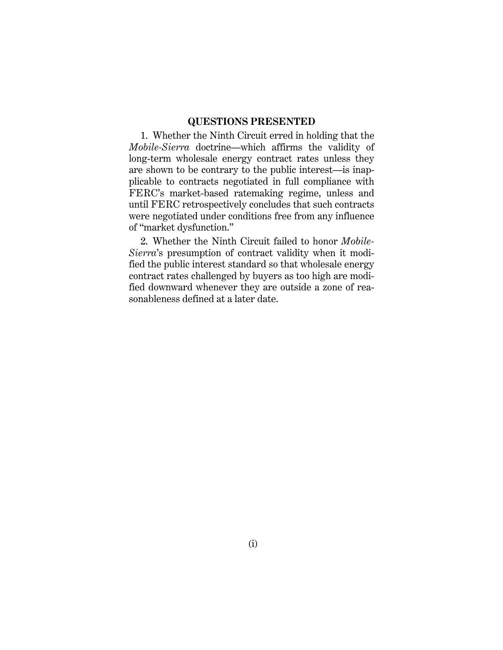### **QUESTIONS PRESENTED**

1. Whether the Ninth Circuit erred in holding that the *Mobile-Sierra* doctrine—which affirms the validity of long-term wholesale energy contract rates unless they are shown to be contrary to the public interest—is inapplicable to contracts negotiated in full compliance with FERC's market-based ratemaking regime, unless and until FERC retrospectively concludes that such contracts were negotiated under conditions free from any influence of "market dysfunction."

2. Whether the Ninth Circuit failed to honor *Mobile-Sierra*'s presumption of contract validity when it modified the public interest standard so that wholesale energy contract rates challenged by buyers as too high are modified downward whenever they are outside a zone of reasonableness defined at a later date.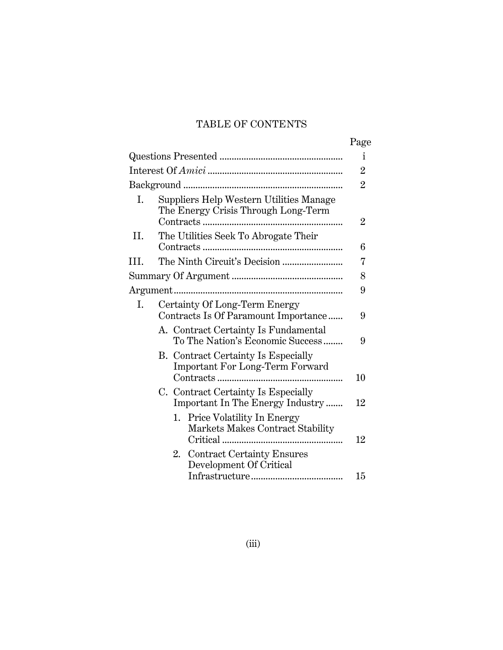## TABLE OF CONTENTS

|  | Page |
|--|------|
|  |      |

|     |                                                                                      | i              |
|-----|--------------------------------------------------------------------------------------|----------------|
|     |                                                                                      | $\overline{2}$ |
|     |                                                                                      | $\overline{2}$ |
| Ι.  | Suppliers Help Western Utilities Manage<br>The Energy Crisis Through Long-Term       | $\overline{2}$ |
| II. | The Utilities Seek To Abrogate Their                                                 | 6              |
| HI. |                                                                                      | 7              |
|     |                                                                                      | 8              |
|     |                                                                                      | 9              |
| Ι.  | Certainty Of Long-Term Energy<br>Contracts Is Of Paramount Importance                | 9              |
|     | A. Contract Certainty Is Fundamental<br>To The Nation's Economic Success             | 9              |
|     | <b>B.</b> Contract Certainty Is Especially<br><b>Important For Long-Term Forward</b> | 10             |
|     | C. Contract Certainty Is Especially<br>Important In The Energy Industry              | 12             |
|     | 1. Price Volatility In Energy<br>Markets Makes Contract Stability                    | 12             |
|     | <b>Contract Certainty Ensures</b><br>2.<br>Development Of Critical                   | 15             |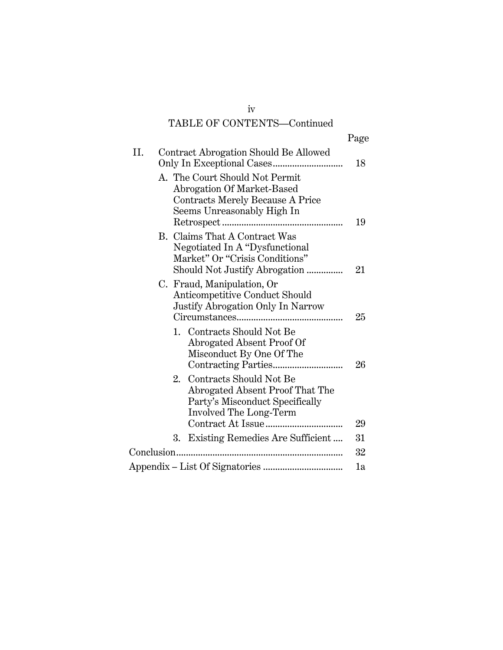# TABLE OF CONTENTS—Continued

|            |    |                                                                                                                                    | Page |
|------------|----|------------------------------------------------------------------------------------------------------------------------------------|------|
| II.        |    | Contract Abrogation Should Be Allowed                                                                                              | 18   |
|            |    | A. The Court Should Not Permit<br>Abrogation Of Market-Based<br>Contracts Merely Because A Price<br>Seems Unreasonably High In     | 19   |
|            |    | B. Claims That A Contract Was<br>Negotiated In A "Dysfunctional<br>Market" Or "Crisis Conditions"<br>Should Not Justify Abrogation | 21   |
|            |    | C. Fraud, Manipulation, Or<br>Anticompetitive Conduct Should<br>Justify Abrogation Only In Narrow                                  | 25   |
|            |    | 1. Contracts Should Not Be<br>Abrogated Absent Proof Of<br>Misconduct By One Of The                                                | 26   |
|            | 2. | Contracts Should Not Be<br>Abrogated Absent Proof That The<br>Party's Misconduct Specifically<br>Involved The Long-Term            |      |
|            |    |                                                                                                                                    | 29   |
|            | 3. | Existing Remedies Are Sufficient                                                                                                   | 31   |
| Conclusion |    |                                                                                                                                    | 32   |
|            |    |                                                                                                                                    | 1a   |

iv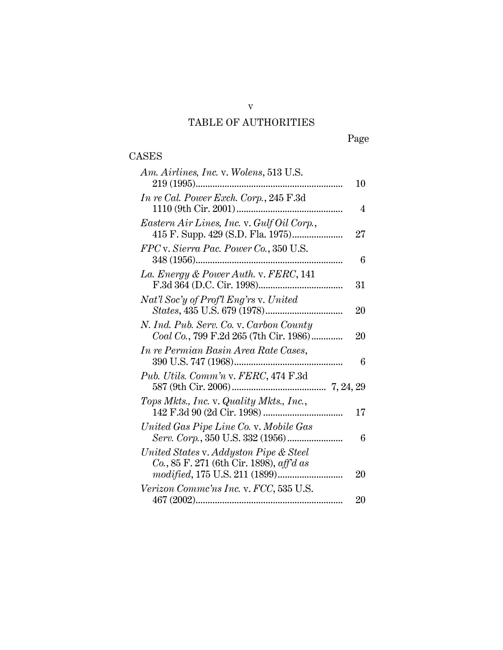## TABLE OF AUTHORITIES

# Page

# CASES

v

| Am. Airlines, Inc. v. Wolens, 513 U.S.     |        |
|--------------------------------------------|--------|
|                                            | 10     |
| In re Cal. Power Exch. Corp., 245 F.3d     |        |
|                                            | 4      |
| Eastern Air Lines, Inc. v. Gulf Oil Corp., |        |
|                                            | $27\,$ |
| FPC v. Sierra Pac. Power Co., 350 U.S.     |        |
|                                            | 6      |
| La. Energy & Power Auth. v. FERC, 141      |        |
|                                            | 31     |
| Nat'l Soc'y of Prof'l Eng'rs v. United     |        |
|                                            | 20     |
| N. Ind. Pub. Serv. Co. v. Carbon County    |        |
| Coal Co., 799 F.2d 265 (7th Cir. 1986)     | 20     |
| In re Permian Basin Area Rate Cases,       |        |
|                                            | 6      |
| Pub. Utils. Comm'n v. FERC, 474 F.3d       |        |
|                                            |        |
| Tops Mkts., Inc. v. Quality Mkts., Inc.,   |        |
|                                            | 17     |
| United Gas Pipe Line Co. v. Mobile Gas     |        |
|                                            | 6      |
| United States v. Addyston Pipe & Steel     |        |
| Co., 85 F. 271 (6th Cir. 1898), aff'd as   |        |
|                                            | 20     |
| Verizon Commc'ns Inc. v. FCC, 535 U.S.     |        |
|                                            | 20     |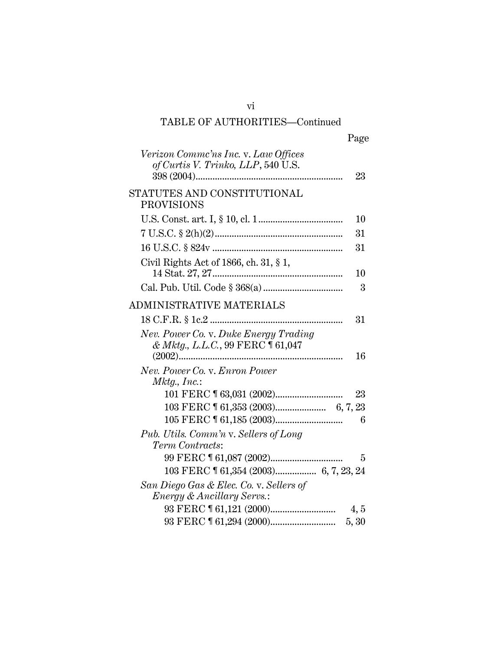# TABLE OF AUTHORITIES—Continued

vi

| Page |
|------|
|------|

| Verizon Commc'ns Inc. v. Law Offices<br>of Curtis V. Trinko, LLP, 540 U.S.<br>23            |
|---------------------------------------------------------------------------------------------|
| STATUTES AND CONSTITUTIONAL<br><b>PROVISIONS</b>                                            |
| 10                                                                                          |
| 31                                                                                          |
| 31                                                                                          |
| Civil Rights Act of 1866, ch. 31, § 1,<br>10                                                |
| 3                                                                                           |
| ADMINISTRATIVE MATERIALS                                                                    |
| 31                                                                                          |
| Nev. Power Co. v. Duke Energy Trading<br>& Mktg., L.L.C., 99 FERC 161,047<br>16<br>$(2002)$ |
| Nev. Power Co. v. Enron Power<br>Mktg., Inc.:                                               |
| 23                                                                                          |
|                                                                                             |
| 6                                                                                           |
| Pub. Utils. Comm'n v. Sellers of Long<br>Term Contracts:                                    |
| 5                                                                                           |
|                                                                                             |
| San Diego Gas & Elec. Co. v. Sellers of                                                     |
| <i>Energy &amp; Ancillary Servs.:</i>                                                       |
| 4, 5                                                                                        |
| 5, 30                                                                                       |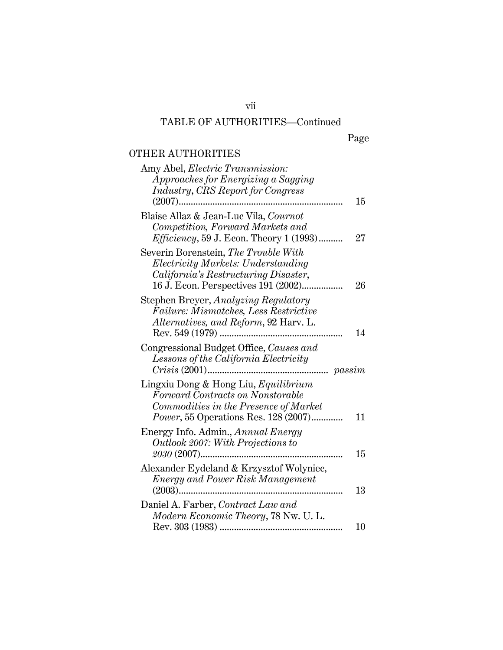# TABLE OF AUTHORITIES—Continued

vii

Page

## OTHER AUTHORITIES

| Amy Abel, <i>Electric Transmission</i> :                                          |        |
|-----------------------------------------------------------------------------------|--------|
| Approaches for Energizing a Sagging                                               |        |
| <b>Industry, CRS Report for Congress</b><br>$(2007)$                              | 15     |
| Blaise Allaz & Jean-Luc Vila, Cournot                                             |        |
| Competition, Forward Markets and                                                  |        |
| <i>Efficiency</i> , 59 J. Econ. Theory 1 (1993)                                   | $27\,$ |
| Severin Borenstein, The Trouble With<br><i>Electricity Markets: Understanding</i> |        |
| California's Restructuring Disaster,                                              |        |
| 16 J. Econ. Perspectives 191 (2002)                                               | 26     |
| Stephen Breyer, Analyzing Regulatory                                              |        |
| Failure: Mismatches, Less Restrictive                                             |        |
| Alternatives, and Reform, 92 Harv. L.                                             |        |
| Rev. 549 (1979)<br>                                                               | 14     |
| Congressional Budget Office, Causes and                                           |        |
| Lessons of the California Electricity                                             |        |
|                                                                                   |        |
| Lingxiu Dong & Hong Liu, Equilibrium<br>Forward Contracts on Nonstorable          |        |
| Commodities in the Presence of Market                                             |        |
| <i>Power</i> , 55 Operations Res. 128 (2007)                                      | 11     |
| Energy Info. Admin., Annual Energy                                                |        |
| <i>Outlook 2007: With Projections to</i>                                          |        |
| 2030 (2007)                                                                       | 15     |
| Alexander Eydeland & Krzysztof Wolyniec,                                          |        |
| <b>Energy and Power Risk Management</b>                                           | 13     |
|                                                                                   |        |
|                                                                                   |        |
| Daniel A. Farber, Contract Law and                                                |        |
| Modern Economic Theory, 78 Nw. U. L.                                              | 10     |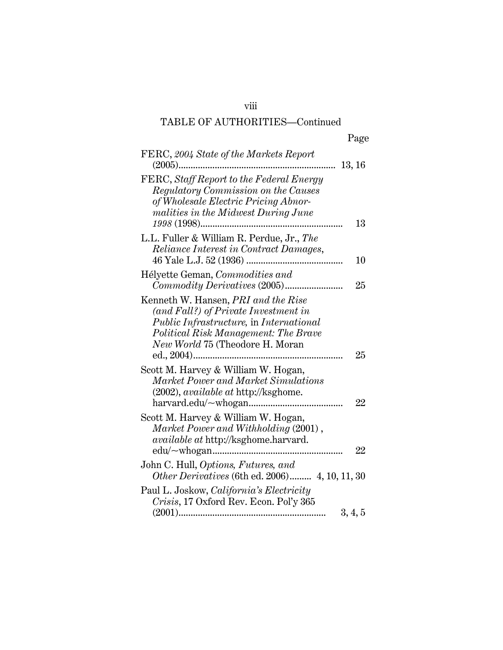# viii

## TABLE OF AUTHORITIES—Continued

| Page |
|------|
|      |

| FERC, 2004 State of the Markets Report                                              |
|-------------------------------------------------------------------------------------|
| $(2005)$<br>13, 16                                                                  |
| FERC, Staff Report to the Federal Energy                                            |
| Regulatory Commission on the Causes                                                 |
| of Wholesale Electric Pricing Abnor-                                                |
| malities in the Midwest During June                                                 |
| 13                                                                                  |
| L.L. Fuller & William R. Perdue, Jr., The                                           |
| <i>Reliance Interest in Contract Damages,</i>                                       |
| 10                                                                                  |
| Hélyette Geman, Commodities and                                                     |
| 25                                                                                  |
| Kenneth W. Hansen, <i>PRI</i> and the Rise                                          |
| (and Fall?) of Private Investment in                                                |
| <i>Public Infrastructure, in International</i>                                      |
| Political Risk Management: The Brave                                                |
| New World 75 (Theodore H. Moran                                                     |
| 25                                                                                  |
| Scott M. Harvey & William W. Hogan,                                                 |
| Market Power and Market Simulations                                                 |
| (2002), available at http://ksghome.                                                |
| 22                                                                                  |
|                                                                                     |
| Scott M. Harvey & William W. Hogan,                                                 |
| Market Power and Withholding (2001),<br><i>available at http://ksghome.harvard.</i> |
| 22                                                                                  |
|                                                                                     |
| John C. Hull, Options, Futures, and                                                 |
| Other Derivatives (6th ed. 2006) 4, 10, 11, 30                                      |
| Paul L. Joskow, California's Electricity                                            |
| Crisis, 17 Oxford Rev. Econ. Pol'y 365                                              |
| 3, 4, 5                                                                             |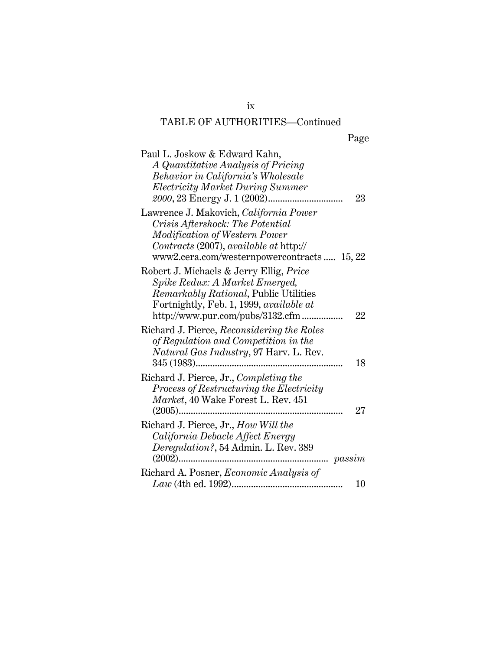## TABLE OF AUTHORITIES—Continued

| Page |
|------|
|      |

| Paul L. Joskow & Edward Kahn,                  |
|------------------------------------------------|
| A Quantitative Analysis of Pricing             |
| Behavior in California's Wholesale             |
| <i>Electricity Market During Summer</i>        |
| 23                                             |
| Lawrence J. Makovich, California Power         |
| Crisis Aftershock: The Potential               |
| Modification of Western Power                  |
| Contracts (2007), available at http://         |
| www2.cera.com/westernpowercontracts 15, 22     |
| Robert J. Michaels & Jerry Ellig, <i>Price</i> |
| Spike Redux: A Market Emerged,                 |
| Remarkably Rational, Public Utilities          |
| Fortnightly, Feb. 1, 1999, available at        |
| http://www.pur.com/pubs/3132.cfm<br>$22\,$     |
| Richard J. Pierce, Reconsidering the Roles     |
| of Regulation and Competition in the           |
| Natural Gas Industry, 97 Harv. L. Rev.         |
| 18                                             |
| Richard J. Pierce, Jr., Completing the         |
| Process of Restructuring the Electricity       |
| Market, 40 Wake Forest L. Rev. 451             |
| 27                                             |
| Richard J. Pierce, Jr., How Will the           |
| California Debacle Affect Energy               |
| Deregulation?, 54 Admin. L. Rev. 389           |
| $$ passim                                      |
| Richard A. Posner, Economic Analysis of        |
| 10                                             |
|                                                |

ix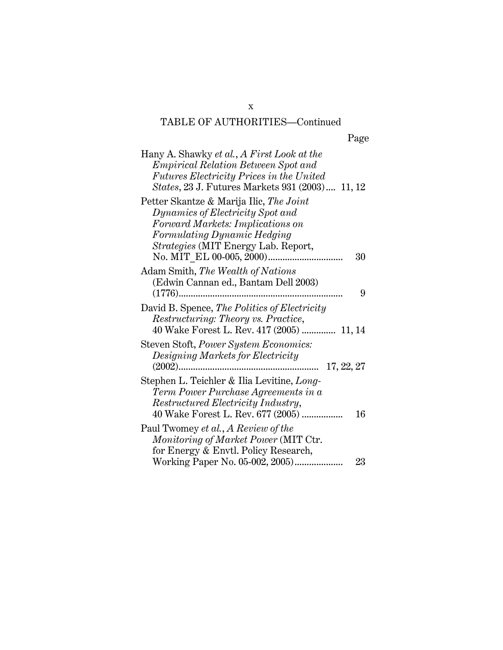## TABLE OF AUTHORITIES—Continued

| Page |
|------|
|      |

| Hany A. Shawky et al., A First Look at the<br><i>Empirical Relation Between Spot and</i><br><i>Futures Electricity Prices in the United</i><br>States, 23 J. Futures Markets 931 (2003) 11, 12 |    |
|------------------------------------------------------------------------------------------------------------------------------------------------------------------------------------------------|----|
| Petter Skantze & Marija Ilic, The Joint<br>Dynamics of Electricity Spot and<br>Forward Markets: Implications on<br>Formulating Dynamic Hedging<br><i>Strategies</i> (MIT Energy Lab. Report,   | 30 |
| Adam Smith, The Wealth of Nations<br>(Edwin Cannan ed., Bantam Dell 2003)                                                                                                                      | 9  |
| David B. Spence, The Politics of Electricity<br>Restructuring: Theory vs. Practice,<br>40 Wake Forest L. Rev. 417 (2005)  11, 14                                                               |    |
| Steven Stoft, Power System Economics:<br>Designing Markets for Electricity<br>17, 22, 27                                                                                                       |    |
| Stephen L. Teichler & Ilia Levitine, Long-<br>Term Power Purchase Agreements in a<br>Restructured Electricity Industry,<br>40 Wake Forest L. Rev. 677 (2005)                                   | 16 |
| Paul Twomey et al., A Review of the<br>Monitoring of Market Power (MIT Ctr.<br>for Energy & Envtl. Policy Research,<br>Working Paper No. 05-002, 2005)                                         | 23 |

x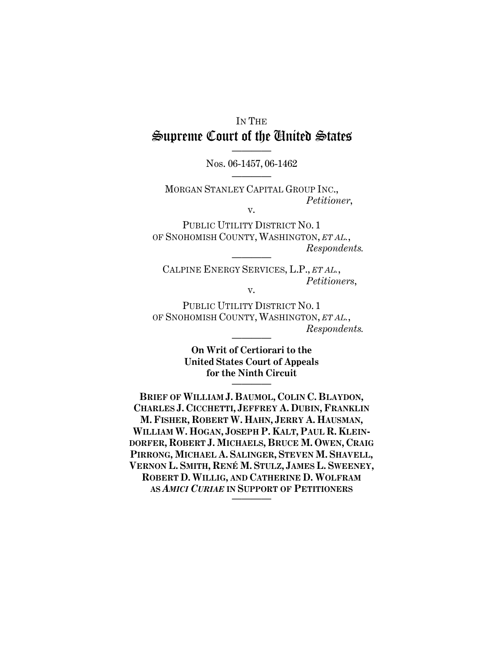# IN THE Supreme Court of the United States ————

## Nos. 06-1457, 06-1462 ————

MORGAN STANLEY CAPITAL GROUP INC.,  *Petitioner*, v.

PUBLIC UTILITY DISTRICT NO. 1 OF SNOHOMISH COUNTY, WASHINGTON, *ET AL.*,  $Respondents.$ 

CALPINE ENERGY SERVICES, L.P., *ET AL.*,  *Petitioners*, v.

PUBLIC UTILITY DISTRICT NO. 1 OF SNOHOMISH COUNTY, WASHINGTON, *ET AL.*,  $$ 

> **On Writ of Certiorari to the United States Court of Appeals for the Ninth Circuit**  ————

**BRIEF OF WILLIAM J. BAUMOL, COLIN C. BLAYDON, CHARLES J. CICCHETTI, JEFFREY A. DUBIN, FRANKLIN M. FISHER, ROBERT W. HAHN, JERRY A. HAUSMAN, WILLIAM W. HOGAN, JOSEPH P. KALT, PAUL R. KLEIN-DORFER, ROBERT J. MICHAELS, BRUCE M. OWEN, CRAIG PIRRONG, MICHAEL A. SALINGER, STEVEN M. SHAVELL, VERNON L. SMITH, RENÉ M. STULZ, JAMES L. SWEENEY, ROBERT D. WILLIG, AND CATHERINE D. WOLFRAM AS** *AMICI CURIAE* **IN SUPPORT OF PETITIONERS** ————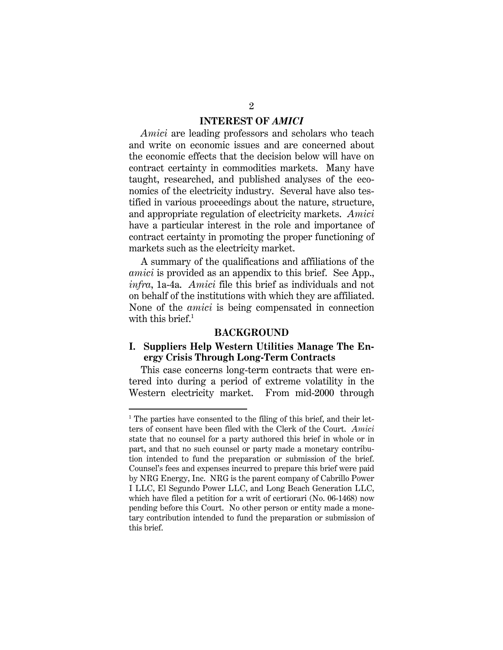### **INTEREST OF** *AMICI*

*Amici* are leading professors and scholars who teach and write on economic issues and are concerned about the economic effects that the decision below will have on contract certainty in commodities markets. Many have taught, researched, and published analyses of the economics of the electricity industry. Several have also testified in various proceedings about the nature, structure, and appropriate regulation of electricity markets. *Amici*  have a particular interest in the role and importance of contract certainty in promoting the proper functioning of markets such as the electricity market.

A summary of the qualifications and affiliations of the *amici* is provided as an appendix to this brief. See App., *infra*, 1a-4a. *Amici* file this brief as individuals and not on behalf of the institutions with which they are affiliated. None of the *amici* is being compensated in connection with this brief. $^1$ 

#### **BACKGROUND**

## **I. Suppliers Help Western Utilities Manage The Energy Crisis Through Long-Term Contracts**

This case concerns long-term contracts that were entered into during a period of extreme volatility in the Western electricity market. From mid-2000 through

-

<sup>&</sup>lt;sup>1</sup> The parties have consented to the filing of this brief, and their letters of consent have been filed with the Clerk of the Court. *Amici*  state that no counsel for a party authored this brief in whole or in part, and that no such counsel or party made a monetary contribution intended to fund the preparation or submission of the brief. Counsel's fees and expenses incurred to prepare this brief were paid by NRG Energy, Inc. NRG is the parent company of Cabrillo Power I LLC, El Segundo Power LLC, and Long Beach Generation LLC, which have filed a petition for a writ of certiorari (No. 06-1468) now pending before this Court. No other person or entity made a monetary contribution intended to fund the preparation or submission of this brief.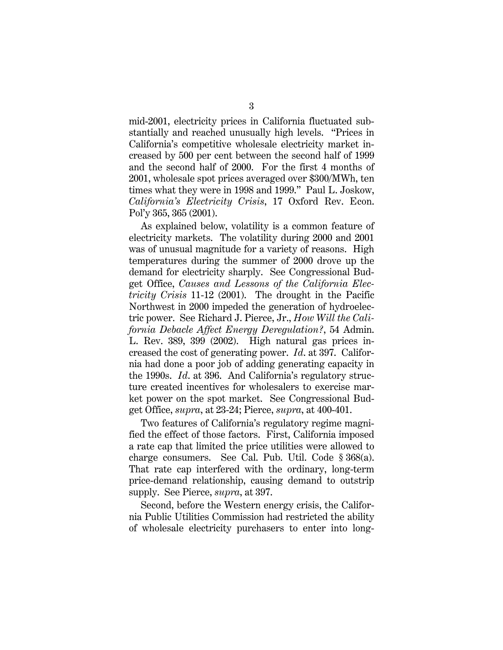mid-2001, electricity prices in California fluctuated substantially and reached unusually high levels. "Prices in California's competitive wholesale electricity market increased by 500 per cent between the second half of 1999 and the second half of 2000. For the first 4 months of 2001, wholesale spot prices averaged over \$300/MWh, ten times what they were in 1998 and 1999." Paul L. Joskow, *California's Electricity Crisis*, 17 Oxford Rev. Econ. Pol'y 365, 365 (2001).

As explained below, volatility is a common feature of electricity markets. The volatility during 2000 and 2001 was of unusual magnitude for a variety of reasons. High temperatures during the summer of 2000 drove up the demand for electricity sharply. See Congressional Budget Office, *Causes and Lessons of the California Electricity Crisis* 11-12 (2001). The drought in the Pacific Northwest in 2000 impeded the generation of hydroelectric power. See Richard J. Pierce, Jr., *How Will the California Debacle Affect Energy Deregulation?*, 54 Admin. L. Rev. 389, 399 (2002). High natural gas prices increased the cost of generating power. *Id*. at 397. California had done a poor job of adding generating capacity in the 1990s. *Id*. at 396. And California's regulatory structure created incentives for wholesalers to exercise market power on the spot market. See Congressional Budget Office, *supra*, at 23-24; Pierce, *supra*, at 400-401.

Two features of California's regulatory regime magnified the effect of those factors. First, California imposed a rate cap that limited the price utilities were allowed to charge consumers. See Cal. Pub. Util. Code § 368(a). That rate cap interfered with the ordinary, long-term price-demand relationship, causing demand to outstrip supply. See Pierce, *supra*, at 397.

Second, before the Western energy crisis, the California Public Utilities Commission had restricted the ability of wholesale electricity purchasers to enter into long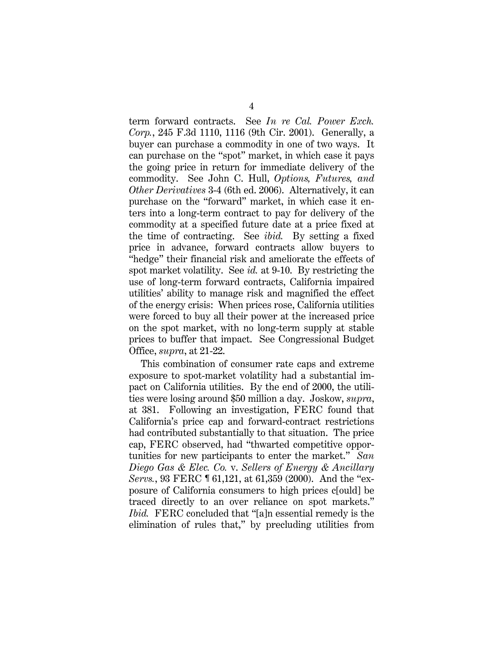term forward contracts. See *In re Cal. Power Exch. Corp.*, 245 F.3d 1110, 1116 (9th Cir. 2001). Generally, a buyer can purchase a commodity in one of two ways. It can purchase on the "spot" market, in which case it pays the going price in return for immediate delivery of the commodity. See John C. Hull, *Options, Futures, and Other Derivatives* 3-4 (6th ed. 2006). Alternatively, it can purchase on the "forward" market, in which case it enters into a long-term contract to pay for delivery of the commodity at a specified future date at a price fixed at the time of contracting. See *ibid.* By setting a fixed price in advance, forward contracts allow buyers to "hedge" their financial risk and ameliorate the effects of spot market volatility. See *id.* at 9-10. By restricting the use of long-term forward contracts, California impaired utilities' ability to manage risk and magnified the effect of the energy crisis: When prices rose, California utilities were forced to buy all their power at the increased price on the spot market, with no long-term supply at stable prices to buffer that impact. See Congressional Budget Office, *supra*, at 21-22.

This combination of consumer rate caps and extreme exposure to spot-market volatility had a substantial impact on California utilities. By the end of 2000, the utilities were losing around \$50 million a day. Joskow, *supra*, at 381. Following an investigation, FERC found that California's price cap and forward-contract restrictions had contributed substantially to that situation. The price cap, FERC observed, had "thwarted competitive opportunities for new participants to enter the market." *San Diego Gas & Elec. Co.* v. *Sellers of Energy & Ancillary Servs.*, 93 FERC ¶ 61,121, at 61,359 (2000). And the "exposure of California consumers to high prices c[ould] be traced directly to an over reliance on spot markets." *Ibid.* FERC concluded that "[a]n essential remedy is the elimination of rules that," by precluding utilities from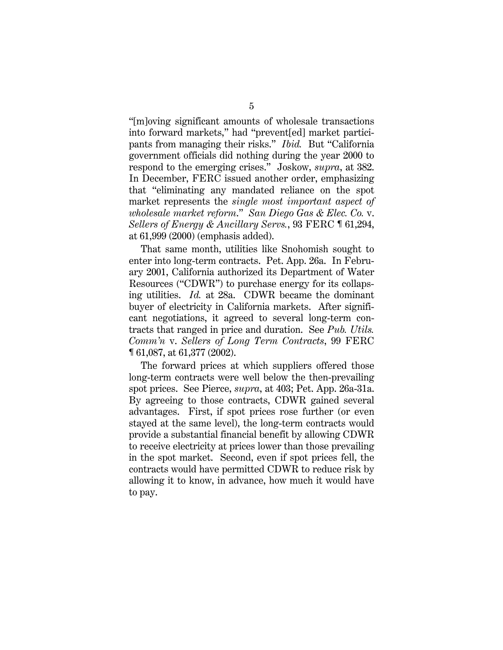"[m]oving significant amounts of wholesale transactions into forward markets," had "prevent[ed] market participants from managing their risks." *Ibid.* But "California government officials did nothing during the year 2000 to respond to the emerging crises." Joskow, *supra*, at 382. In December, FERC issued another order, emphasizing that "eliminating any mandated reliance on the spot market represents the *single most important aspect of wholesale market reform*." *San Diego Gas & Elec. Co.* v. *Sellers of Energy & Ancillary Servs.*, 93 FERC ¶ 61,294, at 61,999 (2000) (emphasis added).

That same month, utilities like Snohomish sought to enter into long-term contracts. Pet. App. 26a. In February 2001, California authorized its Department of Water Resources ("CDWR") to purchase energy for its collapsing utilities. *Id.* at 28a. CDWR became the dominant buyer of electricity in California markets. After significant negotiations, it agreed to several long-term contracts that ranged in price and duration. See *Pub. Utils. Comm'n* v. *Sellers of Long Term Contracts*, 99 FERC ¶ 61,087, at 61,377 (2002).

The forward prices at which suppliers offered those long-term contracts were well below the then-prevailing spot prices. See Pierce, *supra*, at 403; Pet. App. 26a-31a. By agreeing to those contracts, CDWR gained several advantages. First, if spot prices rose further (or even stayed at the same level), the long-term contracts would provide a substantial financial benefit by allowing CDWR to receive electricity at prices lower than those prevailing in the spot market. Second, even if spot prices fell, the contracts would have permitted CDWR to reduce risk by allowing it to know, in advance, how much it would have to pay.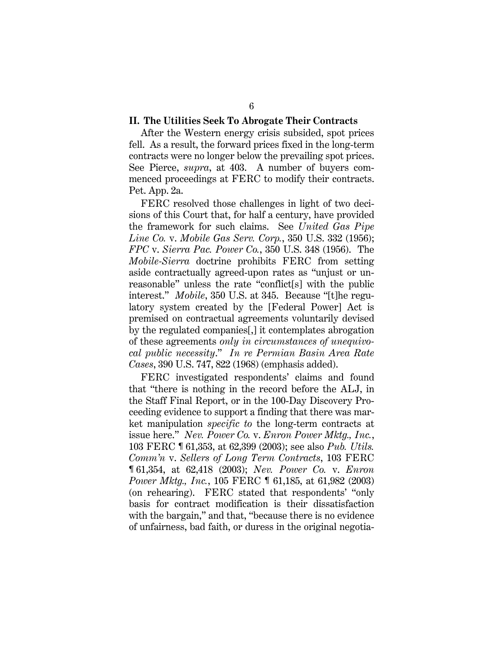#### **II. The Utilities Seek To Abrogate Their Contracts**

After the Western energy crisis subsided, spot prices fell. As a result, the forward prices fixed in the long-term contracts were no longer below the prevailing spot prices. See Pierce, *supra*, at 403. A number of buyers commenced proceedings at FERC to modify their contracts. Pet. App. 2a.

FERC resolved those challenges in light of two decisions of this Court that, for half a century, have provided the framework for such claims. See *United Gas Pipe Line Co.* v. *Mobile Gas Serv. Corp.*, 350 U.S. 332 (1956); *FPC* v. *Sierra Pac. Power Co.*, 350 U.S. 348 (1956). The *Mobile-Sierra* doctrine prohibits FERC from setting aside contractually agreed-upon rates as "unjust or unreasonable" unless the rate "conflict[s] with the public interest." *Mobile*, 350 U.S. at 345. Because "[t]he regulatory system created by the [Federal Power] Act is premised on contractual agreements voluntarily devised by the regulated companies[,] it contemplates abrogation of these agreements *only in circumstances of unequivocal public necessity*." *In re Permian Basin Area Rate Cases*, 390 U.S. 747, 822 (1968) (emphasis added).

FERC investigated respondents' claims and found that "there is nothing in the record before the ALJ, in the Staff Final Report, or in the 100-Day Discovery Proceeding evidence to support a finding that there was market manipulation *specific to* the long-term contracts at issue here." *Nev. Power Co.* v. *Enron Power Mktg., Inc.*, 103 FERC ¶ 61,353, at 62,399 (2003); see also *Pub. Utils. Comm'n* v. *Sellers of Long Term Contracts*, 103 FERC ¶ 61,354, at 62,418 (2003); *Nev. Power Co.* v. *Enron Power Mktg., Inc.*, 105 FERC ¶ 61,185, at 61,982 (2003) (on rehearing). FERC stated that respondents' "only basis for contract modification is their dissatisfaction with the bargain," and that, "because there is no evidence of unfairness, bad faith, or duress in the original negotia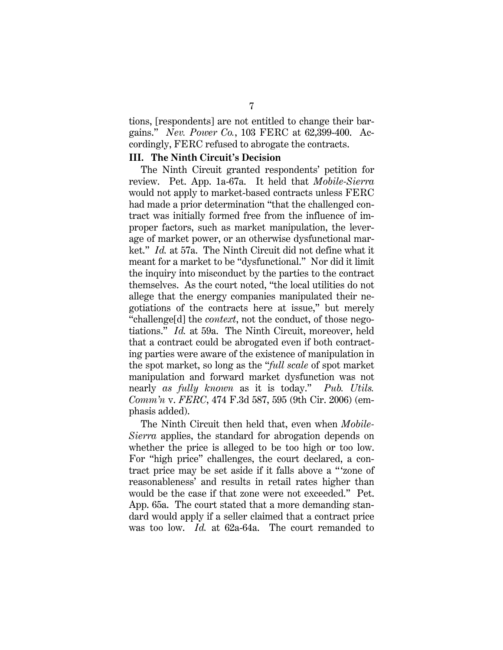tions, [respondents] are not entitled to change their bargains." *Nev. Power Co.*, 103 FERC at 62,399-400. Accordingly, FERC refused to abrogate the contracts.

## **III. The Ninth Circuit's Decision**

The Ninth Circuit granted respondents' petition for review. Pet. App. 1a-67a. It held that *Mobile-Sierra* would not apply to market-based contracts unless FERC had made a prior determination "that the challenged contract was initially formed free from the influence of improper factors, such as market manipulation, the leverage of market power, or an otherwise dysfunctional market." *Id.* at 57a. The Ninth Circuit did not define what it meant for a market to be "dysfunctional." Nor did it limit the inquiry into misconduct by the parties to the contract themselves. As the court noted, "the local utilities do not allege that the energy companies manipulated their negotiations of the contracts here at issue," but merely "challenge[d] the *context*, not the conduct, of those negotiations." *Id.* at 59a. The Ninth Circuit, moreover, held that a contract could be abrogated even if both contracting parties were aware of the existence of manipulation in the spot market, so long as the "*full scale* of spot market manipulation and forward market dysfunction was not nearly *as fully known* as it is today." *Pub. Utils. Comm'n* v. *FERC*, 474 F.3d 587, 595 (9th Cir. 2006) (emphasis added).

The Ninth Circuit then held that, even when *Mobile-Sierra* applies, the standard for abrogation depends on whether the price is alleged to be too high or too low. For "high price" challenges, the court declared, a contract price may be set aside if it falls above a " 'zone of reasonableness' and results in retail rates higher than would be the case if that zone were not exceeded." Pet. App. 65a. The court stated that a more demanding standard would apply if a seller claimed that a contract price was too low. *Id.* at 62a-64a. The court remanded to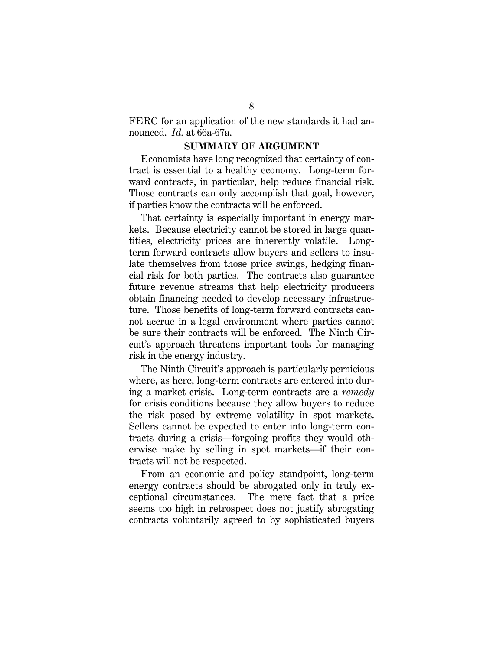FERC for an application of the new standards it had announced. *Id.* at 66a-67a.

#### **SUMMARY OF ARGUMENT**

Economists have long recognized that certainty of contract is essential to a healthy economy. Long-term forward contracts, in particular, help reduce financial risk. Those contracts can only accomplish that goal, however, if parties know the contracts will be enforced.

That certainty is especially important in energy markets. Because electricity cannot be stored in large quantities, electricity prices are inherently volatile. Longterm forward contracts allow buyers and sellers to insulate themselves from those price swings, hedging financial risk for both parties. The contracts also guarantee future revenue streams that help electricity producers obtain financing needed to develop necessary infrastructure. Those benefits of long-term forward contracts cannot accrue in a legal environment where parties cannot be sure their contracts will be enforced. The Ninth Circuit's approach threatens important tools for managing risk in the energy industry.

The Ninth Circuit's approach is particularly pernicious where, as here, long-term contracts are entered into during a market crisis. Long-term contracts are a *remedy*  for crisis conditions because they allow buyers to reduce the risk posed by extreme volatility in spot markets. Sellers cannot be expected to enter into long-term contracts during a crisis—forgoing profits they would otherwise make by selling in spot markets—if their contracts will not be respected.

From an economic and policy standpoint, long-term energy contracts should be abrogated only in truly exceptional circumstances. The mere fact that a price seems too high in retrospect does not justify abrogating contracts voluntarily agreed to by sophisticated buyers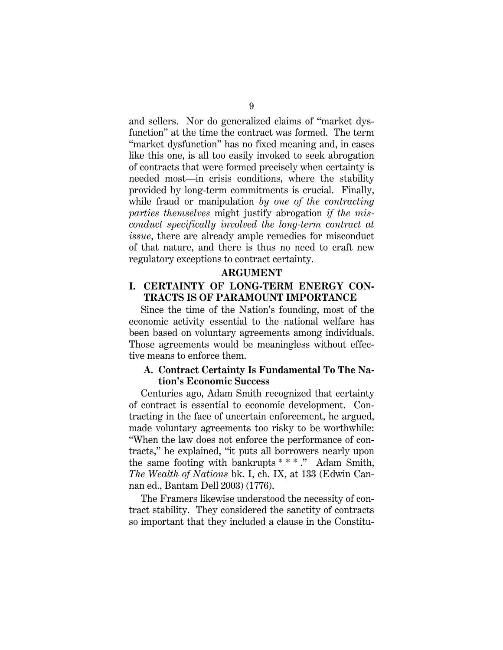and sellers. Nor do generalized claims of "market dysfunction" at the time the contract was formed. The term "market dysfunction" has no fixed meaning and, in cases like this one, is all too easily invoked to seek abrogation of contracts that were formed precisely when certainty is needed most—in crisis conditions, where the stability provided by long-term commitments is crucial. Finally, while fraud or manipulation *by one of the contracting parties themselves* might justify abrogation *if the misconduct specifically involved the long-term contract at issue*, there are already ample remedies for misconduct of that nature, and there is thus no need to craft new regulatory exceptions to contract certainty.

#### **ARGUMENT**

## **I. CERTAINTY OF LONG-TERM ENERGY CON-TRACTS IS OF PARAMOUNT IMPORTANCE**

Since the time of the Nation's founding, most of the economic activity essential to the national welfare has been based on voluntary agreements among individuals. Those agreements would be meaningless without effective means to enforce them.

## **A. Contract Certainty Is Fundamental To The Nation's Economic Success**

Centuries ago, Adam Smith recognized that certainty of contract is essential to economic development. Contracting in the face of uncertain enforcement, he argued, made voluntary agreements too risky to be worthwhile: "When the law does not enforce the performance of contracts," he explained, "it puts all borrowers nearly upon the same footing with bankrupts \* \* \* ." Adam Smith, *The Wealth of Nations* bk. I, ch. IX, at 133 (Edwin Cannan ed., Bantam Dell 2003) (1776).

The Framers likewise understood the necessity of contract stability. They considered the sanctity of contracts so important that they included a clause in the Constitu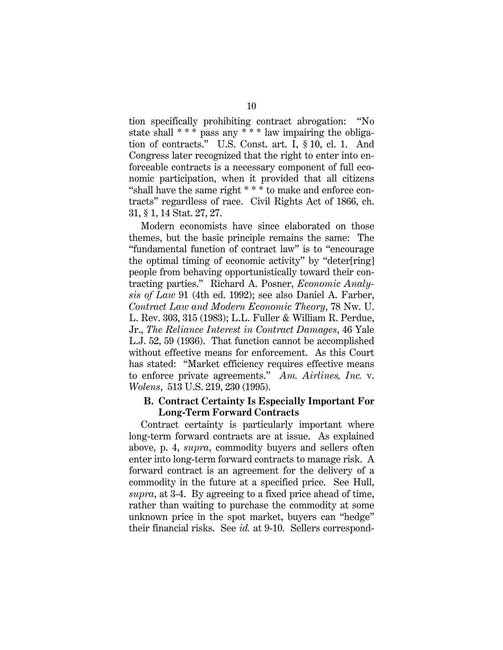tion specifically prohibiting contract abrogation: "No state shall  $***$  pass any  $***$  law impairing the obligation of contracts." U.S. Const. art. I, § 10, cl. 1. And Congress later recognized that the right to enter into enforceable contracts is a necessary component of full economic participation, when it provided that all citizens "shall have the same right \* \* \* to make and enforce contracts" regardless of race. Civil Rights Act of 1866, ch. 31, § 1, 14 Stat. 27, 27.

Modern economists have since elaborated on those themes, but the basic principle remains the same: The "fundamental function of contract law" is to "encourage the optimal timing of economic activity" by "deter[ring] people from behaving opportunistically toward their contracting parties." Richard A. Posner, *Economic Analysis of Law* 91 (4th ed. 1992); see also Daniel A. Farber, *Contract Law and Modern Economic Theory*, 78 Nw. U. L. Rev. 303, 315 (1983); L.L. Fuller & William R. Perdue, Jr., *The Reliance Interest in Contract Damages*, 46 Yale L.J. 52, 59 (1936). That function cannot be accomplished without effective means for enforcement. As this Court has stated: "Market efficiency requires effective means to enforce private agreements." *Am. Airlines, Inc.* v. *Wolens*, 513 U.S. 219, 230 (1995).

## **B. Contract Certainty Is Especially Important For Long-Term Forward Contracts**

Contract certainty is particularly important where long-term forward contracts are at issue. As explained above, p. 4, *supra*, commodity buyers and sellers often enter into long-term forward contracts to manage risk. A forward contract is an agreement for the delivery of a commodity in the future at a specified price. See Hull, *supra*, at 3-4. By agreeing to a fixed price ahead of time, rather than waiting to purchase the commodity at some unknown price in the spot market, buyers can "hedge" their financial risks. See *id.* at 9-10. Sellers correspond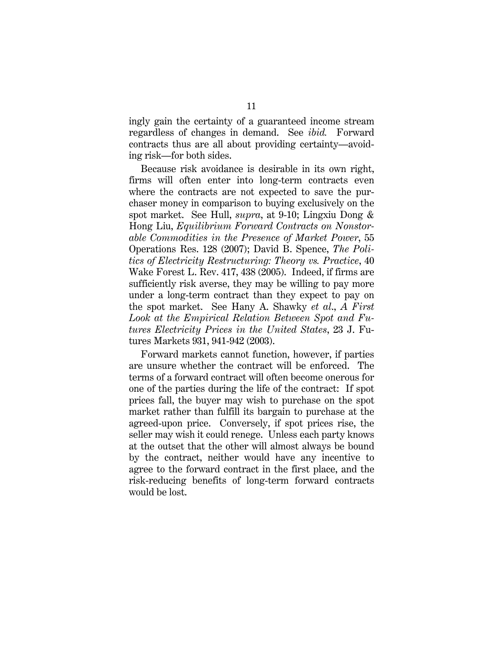ingly gain the certainty of a guaranteed income stream regardless of changes in demand. See *ibid.* Forward contracts thus are all about providing certainty—avoiding risk—for both sides.

Because risk avoidance is desirable in its own right, firms will often enter into long-term contracts even where the contracts are not expected to save the purchaser money in comparison to buying exclusively on the spot market. See Hull, *supra*, at 9-10; Lingxiu Dong & Hong Liu, *Equilibrium Forward Contracts on Nonstorable Commodities in the Presence of Market Power*, 55 Operations Res. 128 (2007); David B. Spence, *The Politics of Electricity Restructuring: Theory vs. Practice*, 40 Wake Forest L. Rev. 417, 438 (2005). Indeed, if firms are sufficiently risk averse, they may be willing to pay more under a long-term contract than they expect to pay on the spot market. See Hany A. Shawky *et al*., *A First Look at the Empirical Relation Between Spot and Futures Electricity Prices in the United States*, 23 J. Futures Markets 931, 941-942 (2003).

Forward markets cannot function, however, if parties are unsure whether the contract will be enforced. The terms of a forward contract will often become onerous for one of the parties during the life of the contract: If spot prices fall, the buyer may wish to purchase on the spot market rather than fulfill its bargain to purchase at the agreed-upon price. Conversely, if spot prices rise, the seller may wish it could renege. Unless each party knows at the outset that the other will almost always be bound by the contract, neither would have any incentive to agree to the forward contract in the first place, and the risk-reducing benefits of long-term forward contracts would be lost.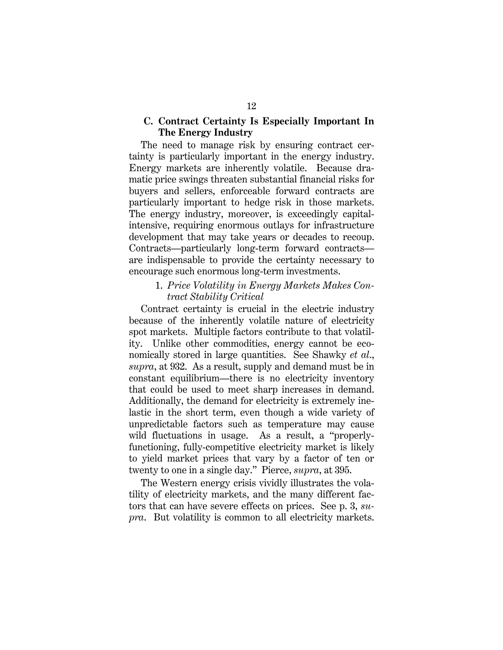## **C. Contract Certainty Is Especially Important In The Energy Industry**

The need to manage risk by ensuring contract certainty is particularly important in the energy industry. Energy markets are inherently volatile. Because dramatic price swings threaten substantial financial risks for buyers and sellers, enforceable forward contracts are particularly important to hedge risk in those markets. The energy industry, moreover, is exceedingly capitalintensive, requiring enormous outlays for infrastructure development that may take years or decades to recoup. Contracts—particularly long-term forward contracts are indispensable to provide the certainty necessary to encourage such enormous long-term investments.

### 1. *Price Volatility in Energy Markets Makes Contract Stability Critical*

Contract certainty is crucial in the electric industry because of the inherently volatile nature of electricity spot markets. Multiple factors contribute to that volatility. Unlike other commodities, energy cannot be economically stored in large quantities. See Shawky *et al*., *supra*, at 932. As a result, supply and demand must be in constant equilibrium—there is no electricity inventory that could be used to meet sharp increases in demand. Additionally, the demand for electricity is extremely inelastic in the short term, even though a wide variety of unpredictable factors such as temperature may cause wild fluctuations in usage. As a result, a "properlyfunctioning, fully-competitive electricity market is likely to yield market prices that vary by a factor of ten or twenty to one in a single day." Pierce, *supra*, at 395.

The Western energy crisis vividly illustrates the volatility of electricity markets, and the many different factors that can have severe effects on prices. See p. 3, *supra*. But volatility is common to all electricity markets.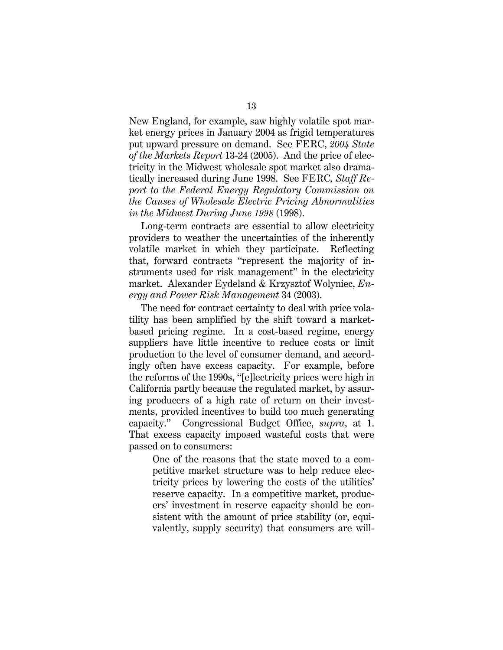New England, for example, saw highly volatile spot market energy prices in January 2004 as frigid temperatures put upward pressure on demand. See FERC, *2004 State of the Markets Report* 13-24 (2005). And the price of electricity in the Midwest wholesale spot market also dramatically increased during June 1998. See FERC*, Staff Report to the Federal Energy Regulatory Commission on the Causes of Wholesale Electric Pricing Abnormalities in the Midwest During June 1998* (1998).

Long-term contracts are essential to allow electricity providers to weather the uncertainties of the inherently volatile market in which they participate. Reflecting that, forward contracts "represent the majority of instruments used for risk management" in the electricity market. Alexander Eydeland & Krzysztof Wolyniec, *Energy and Power Risk Management* 34 (2003).

The need for contract certainty to deal with price volatility has been amplified by the shift toward a marketbased pricing regime. In a cost-based regime, energy suppliers have little incentive to reduce costs or limit production to the level of consumer demand, and accordingly often have excess capacity. For example, before the reforms of the 1990s, "[e]lectricity prices were high in California partly because the regulated market, by assuring producers of a high rate of return on their investments, provided incentives to build too much generating capacity." Congressional Budget Office, *supra*, at 1. That excess capacity imposed wasteful costs that were passed on to consumers:

One of the reasons that the state moved to a competitive market structure was to help reduce electricity prices by lowering the costs of the utilities' reserve capacity. In a competitive market, producers' investment in reserve capacity should be consistent with the amount of price stability (or, equivalently, supply security) that consumers are will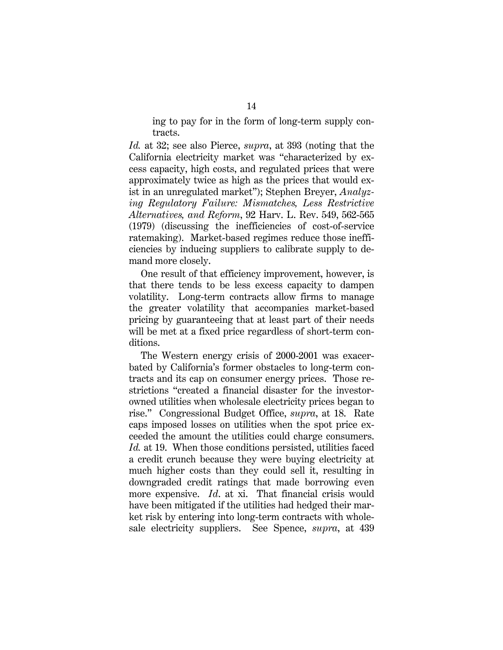ing to pay for in the form of long-term supply contracts.

*Id.* at 32; see also Pierce, *supra*, at 393 (noting that the California electricity market was "characterized by excess capacity, high costs, and regulated prices that were approximately twice as high as the prices that would exist in an unregulated market"); Stephen Breyer, *Analyzing Regulatory Failure: Mismatches, Less Restrictive Alternatives, and Reform*, 92 Harv. L. Rev. 549, 562-565 (1979) (discussing the inefficiencies of cost-of-service ratemaking). Market-based regimes reduce those inefficiencies by inducing suppliers to calibrate supply to demand more closely.

One result of that efficiency improvement, however, is that there tends to be less excess capacity to dampen volatility. Long-term contracts allow firms to manage the greater volatility that accompanies market-based pricing by guaranteeing that at least part of their needs will be met at a fixed price regardless of short-term conditions.

The Western energy crisis of 2000-2001 was exacerbated by California's former obstacles to long-term contracts and its cap on consumer energy prices. Those restrictions "created a financial disaster for the investorowned utilities when wholesale electricity prices began to rise." Congressional Budget Office, *supra*, at 18. Rate caps imposed losses on utilities when the spot price exceeded the amount the utilities could charge consumers. *Id.* at 19. When those conditions persisted, utilities faced a credit crunch because they were buying electricity at much higher costs than they could sell it, resulting in downgraded credit ratings that made borrowing even more expensive. *Id*. at xi. That financial crisis would have been mitigated if the utilities had hedged their market risk by entering into long-term contracts with wholesale electricity suppliers. See Spence, *supra*, at 439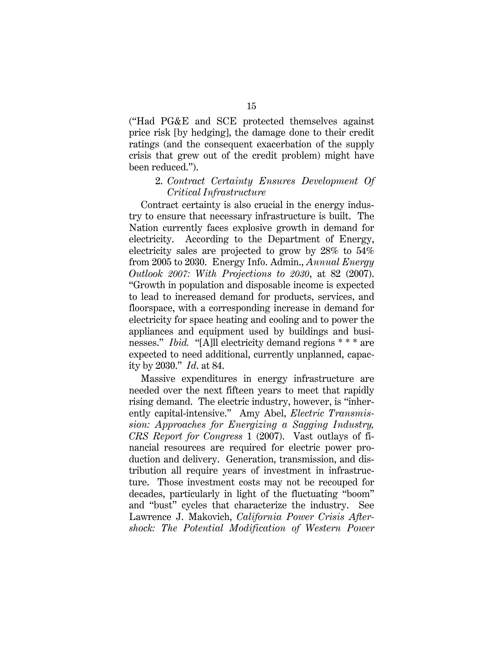("Had PG&E and SCE protected themselves against price risk [by hedging], the damage done to their credit ratings (and the consequent exacerbation of the supply crisis that grew out of the credit problem) might have been reduced.").

#### 2. *Contract Certainty Ensures Development Of Critical Infrastructure*

Contract certainty is also crucial in the energy industry to ensure that necessary infrastructure is built. The Nation currently faces explosive growth in demand for electricity. According to the Department of Energy, electricity sales are projected to grow by 28% to 54% from 2005 to 2030. Energy Info. Admin., *Annual Energy Outlook 2007: With Projections to 2030*, at 82 (2007). "Growth in population and disposable income is expected to lead to increased demand for products, services, and floorspace, with a corresponding increase in demand for electricity for space heating and cooling and to power the appliances and equipment used by buildings and businesses." *Ibid.* "[A]ll electricity demand regions \* \* \* are expected to need additional, currently unplanned, capacity by 2030." *Id*. at 84.

Massive expenditures in energy infrastructure are needed over the next fifteen years to meet that rapidly rising demand. The electric industry, however, is "inherently capital-intensive." Amy Abel, *Electric Transmission: Approaches for Energizing a Sagging Industry, CRS Report for Congress* 1 (2007). Vast outlays of financial resources are required for electric power production and delivery. Generation, transmission, and distribution all require years of investment in infrastructure. Those investment costs may not be recouped for decades, particularly in light of the fluctuating "boom" and "bust" cycles that characterize the industry. See Lawrence J. Makovich, *California Power Crisis Aftershock: The Potential Modification of Western Power*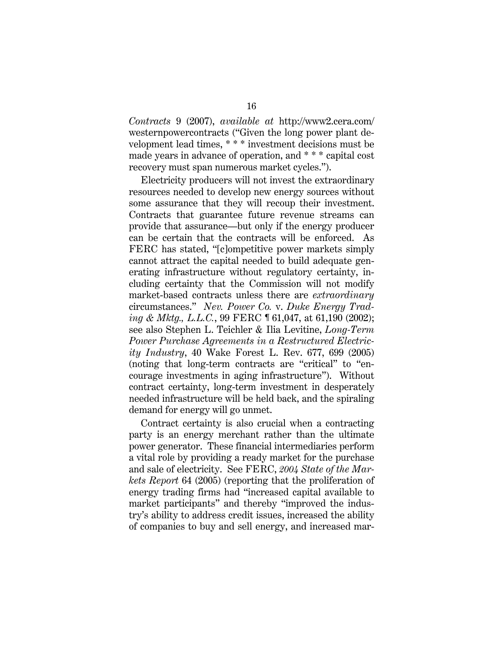*Contracts* 9 (2007), *available at* http://www2.cera.com/ westernpowercontracts ("Given the long power plant development lead times, \* \* \* investment decisions must be made years in advance of operation, and \* \* \* capital cost recovery must span numerous market cycles.").

Electricity producers will not invest the extraordinary resources needed to develop new energy sources without some assurance that they will recoup their investment. Contracts that guarantee future revenue streams can provide that assurance—but only if the energy producer can be certain that the contracts will be enforced. As FERC has stated, "[c]ompetitive power markets simply cannot attract the capital needed to build adequate generating infrastructure without regulatory certainty, including certainty that the Commission will not modify market-based contracts unless there are *extraordinary* circumstances." *Nev. Power Co.* v. *Duke Energy Trading & Mktg., L.L.C.*, 99 FERC ¶ 61,047, at 61,190 (2002); see also Stephen L. Teichler & Ilia Levitine, *Long-Term Power Purchase Agreements in a Restructured Electricity Industry*, 40 Wake Forest L. Rev. 677, 699 (2005) (noting that long-term contracts are "critical" to "encourage investments in aging infrastructure"). Without contract certainty, long-term investment in desperately needed infrastructure will be held back, and the spiraling demand for energy will go unmet.

Contract certainty is also crucial when a contracting party is an energy merchant rather than the ultimate power generator. These financial intermediaries perform a vital role by providing a ready market for the purchase and sale of electricity. See FERC, *2004 State of the Markets Report* 64 (2005) (reporting that the proliferation of energy trading firms had "increased capital available to market participants" and thereby "improved the industry's ability to address credit issues, increased the ability of companies to buy and sell energy, and increased mar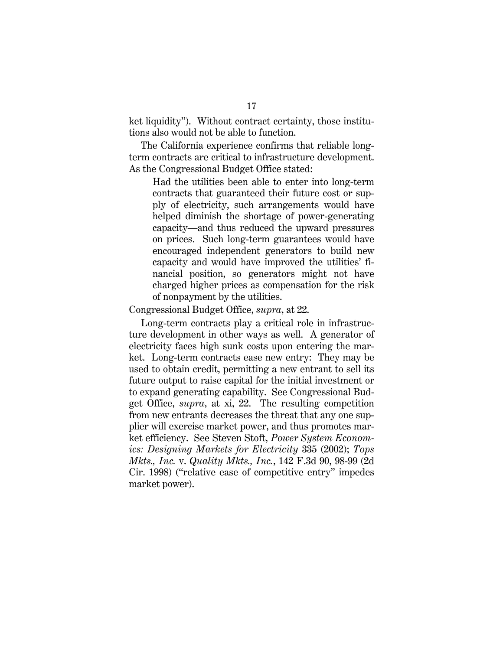ket liquidity"). Without contract certainty, those institutions also would not be able to function.

The California experience confirms that reliable longterm contracts are critical to infrastructure development. As the Congressional Budget Office stated:

Had the utilities been able to enter into long-term contracts that guaranteed their future cost or supply of electricity, such arrangements would have helped diminish the shortage of power-generating capacity—and thus reduced the upward pressures on prices. Such long-term guarantees would have encouraged independent generators to build new capacity and would have improved the utilities' financial position, so generators might not have charged higher prices as compensation for the risk of nonpayment by the utilities.

Congressional Budget Office, *supra*, at 22.

Long-term contracts play a critical role in infrastructure development in other ways as well. A generator of electricity faces high sunk costs upon entering the market. Long-term contracts ease new entry: They may be used to obtain credit, permitting a new entrant to sell its future output to raise capital for the initial investment or to expand generating capability. See Congressional Budget Office, *supra*, at xi, 22. The resulting competition from new entrants decreases the threat that any one supplier will exercise market power, and thus promotes market efficiency. See Steven Stoft, *Power System Economics: Designing Markets for Electricity* 335 (2002); *Tops Mkts., Inc.* v. *Quality Mkts., Inc.*, 142 F.3d 90, 98-99 (2d Cir. 1998) ("relative ease of competitive entry" impedes market power).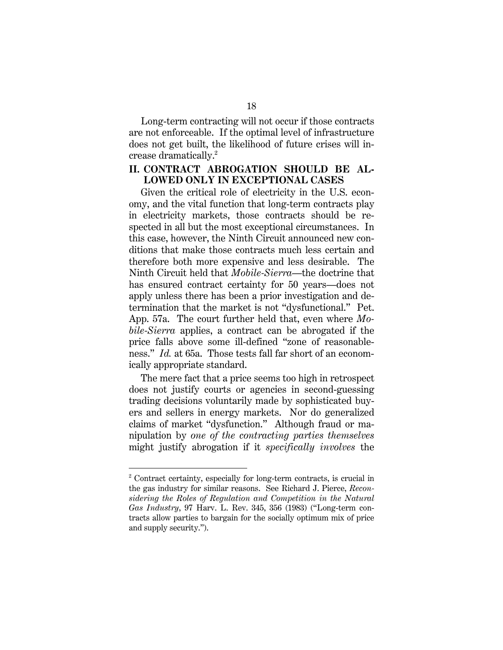Long-term contracting will not occur if those contracts are not enforceable. If the optimal level of infrastructure does not get built, the likelihood of future crises will increase dramatically.<sup>2</sup>

## **II. CONTRACT ABROGATION SHOULD BE AL-LOWED ONLY IN EXCEPTIONAL CASES**

Given the critical role of electricity in the U.S. economy, and the vital function that long-term contracts play in electricity markets, those contracts should be respected in all but the most exceptional circumstances. In this case, however, the Ninth Circuit announced new conditions that make those contracts much less certain and therefore both more expensive and less desirable. The Ninth Circuit held that *Mobile-Sierra*—the doctrine that has ensured contract certainty for 50 years—does not apply unless there has been a prior investigation and determination that the market is not "dysfunctional." Pet. App. 57a. The court further held that, even where *Mobile-Sierra* applies, a contract can be abrogated if the price falls above some ill-defined "zone of reasonableness." *Id.* at 65a. Those tests fall far short of an economically appropriate standard.

The mere fact that a price seems too high in retrospect does not justify courts or agencies in second-guessing trading decisions voluntarily made by sophisticated buyers and sellers in energy markets. Nor do generalized claims of market "dysfunction." Although fraud or manipulation by *one of the contracting parties themselves* might justify abrogation if it *specifically involves* the

-

<sup>2</sup> Contract certainty, especially for long-term contracts, is crucial in the gas industry for similar reasons. See Richard J. Pierce, *Reconsidering the Roles of Regulation and Competition in the Natural Gas Industry*, 97 Harv. L. Rev. 345, 356 (1983) ("Long-term contracts allow parties to bargain for the socially optimum mix of price and supply security.").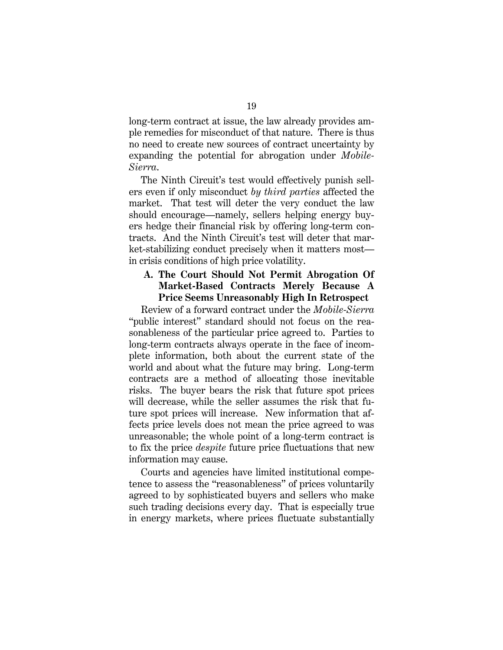long-term contract at issue, the law already provides ample remedies for misconduct of that nature. There is thus no need to create new sources of contract uncertainty by expanding the potential for abrogation under *Mobile-Sierra*.

The Ninth Circuit's test would effectively punish sellers even if only misconduct *by third parties* affected the market. That test will deter the very conduct the law should encourage—namely, sellers helping energy buyers hedge their financial risk by offering long-term contracts. And the Ninth Circuit's test will deter that market-stabilizing conduct precisely when it matters most in crisis conditions of high price volatility.

## **A. The Court Should Not Permit Abrogation Of Market-Based Contracts Merely Because A Price Seems Unreasonably High In Retrospect**

Review of a forward contract under the *Mobile-Sierra* "public interest" standard should not focus on the reasonableness of the particular price agreed to. Parties to long-term contracts always operate in the face of incomplete information, both about the current state of the world and about what the future may bring. Long-term contracts are a method of allocating those inevitable risks. The buyer bears the risk that future spot prices will decrease, while the seller assumes the risk that future spot prices will increase. New information that affects price levels does not mean the price agreed to was unreasonable; the whole point of a long-term contract is to fix the price *despite* future price fluctuations that new information may cause.

Courts and agencies have limited institutional competence to assess the "reasonableness" of prices voluntarily agreed to by sophisticated buyers and sellers who make such trading decisions every day. That is especially true in energy markets, where prices fluctuate substantially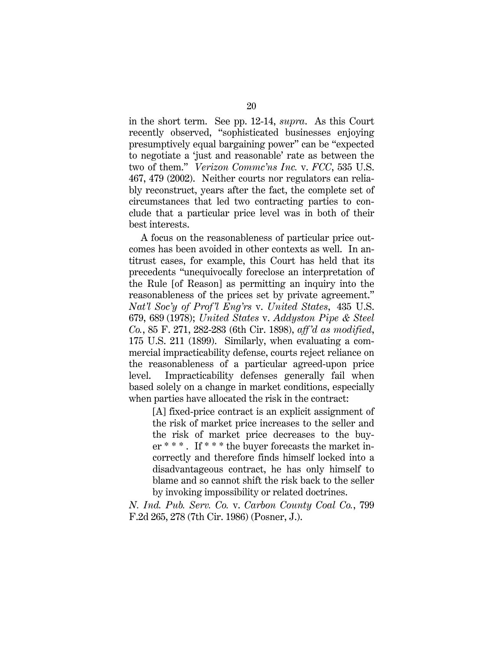in the short term. See pp. 12-14, *supra*. As this Court recently observed, "sophisticated businesses enjoying presumptively equal bargaining power" can be "expected to negotiate a 'just and reasonable' rate as between the two of them." *Verizon Commc'ns Inc.* v. *FCC*, 535 U.S. 467, 479 (2002). Neither courts nor regulators can reliably reconstruct, years after the fact, the complete set of circumstances that led two contracting parties to conclude that a particular price level was in both of their best interests.

A focus on the reasonableness of particular price outcomes has been avoided in other contexts as well. In antitrust cases, for example, this Court has held that its precedents "unequivocally foreclose an interpretation of the Rule [of Reason] as permitting an inquiry into the reasonableness of the prices set by private agreement." *Nat'l Soc'y of Prof 'l Eng'rs* v. *United States*, 435 U.S. 679, 689 (1978); *United States* v. *Addyston Pipe & Steel Co.*, 85 F. 271, 282-283 (6th Cir. 1898), *aff 'd as modified*, 175 U.S. 211 (1899). Similarly, when evaluating a commercial impracticability defense, courts reject reliance on the reasonableness of a particular agreed-upon price level. Impracticability defenses generally fail when based solely on a change in market conditions, especially when parties have allocated the risk in the contract:

[A] fixed-price contract is an explicit assignment of the risk of market price increases to the seller and the risk of market price decreases to the buyer \*\*\*. If \*\*\* the buyer forecasts the market incorrectly and therefore finds himself locked into a disadvantageous contract, he has only himself to blame and so cannot shift the risk back to the seller by invoking impossibility or related doctrines.

*N. Ind. Pub. Serv. Co.* v. *Carbon County Coal Co.*, 799 F.2d 265, 278 (7th Cir. 1986) (Posner, J.).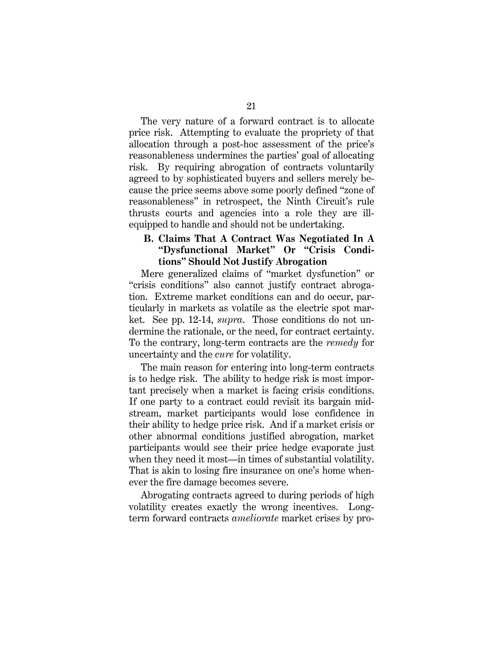The very nature of a forward contract is to allocate price risk. Attempting to evaluate the propriety of that allocation through a post-hoc assessment of the price's reasonableness undermines the parties' goal of allocating risk. By requiring abrogation of contracts voluntarily agreed to by sophisticated buyers and sellers merely because the price seems above some poorly defined "zone of reasonableness" in retrospect, the Ninth Circuit's rule thrusts courts and agencies into a role they are illequipped to handle and should not be undertaking.

## **B. Claims That A Contract Was Negotiated In A "Dysfunctional Market" Or "Crisis Conditions" Should Not Justify Abrogation**

Mere generalized claims of "market dysfunction" or "crisis conditions" also cannot justify contract abrogation. Extreme market conditions can and do occur, particularly in markets as volatile as the electric spot market. See pp. 12-14, *supra*. Those conditions do not undermine the rationale, or the need, for contract certainty. To the contrary, long-term contracts are the *remedy* for uncertainty and the *cure* for volatility.

The main reason for entering into long-term contracts is to hedge risk. The ability to hedge risk is most important precisely when a market is facing crisis conditions. If one party to a contract could revisit its bargain midstream, market participants would lose confidence in their ability to hedge price risk. And if a market crisis or other abnormal conditions justified abrogation, market participants would see their price hedge evaporate just when they need it most—in times of substantial volatility. That is akin to losing fire insurance on one's home whenever the fire damage becomes severe.

Abrogating contracts agreed to during periods of high volatility creates exactly the wrong incentives. Longterm forward contracts *ameliorate* market crises by pro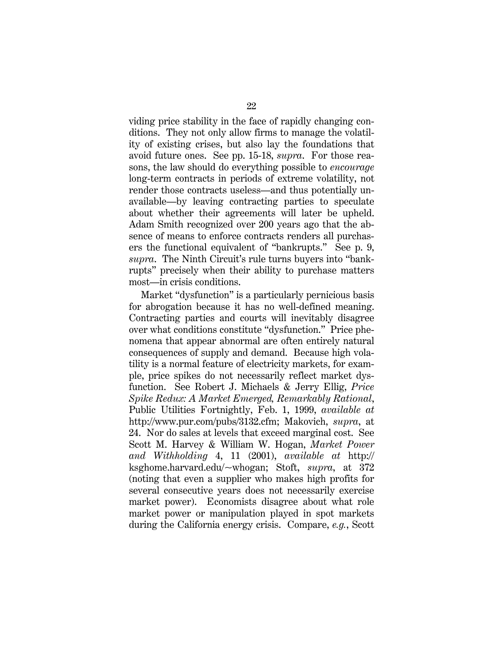viding price stability in the face of rapidly changing conditions. They not only allow firms to manage the volatility of existing crises, but also lay the foundations that avoid future ones. See pp. 15-18, *supra*. For those reasons, the law should do everything possible to *encourage*  long-term contracts in periods of extreme volatility, not render those contracts useless—and thus potentially unavailable—by leaving contracting parties to speculate about whether their agreements will later be upheld. Adam Smith recognized over 200 years ago that the absence of means to enforce contracts renders all purchasers the functional equivalent of "bankrupts." See p. 9, *supra*. The Ninth Circuit's rule turns buyers into "bankrupts" precisely when their ability to purchase matters most—in crisis conditions.

Market "dysfunction" is a particularly pernicious basis for abrogation because it has no well-defined meaning. Contracting parties and courts will inevitably disagree over what conditions constitute "dysfunction." Price phenomena that appear abnormal are often entirely natural consequences of supply and demand. Because high volatility is a normal feature of electricity markets, for example, price spikes do not necessarily reflect market dysfunction. See Robert J. Michaels & Jerry Ellig, *Price Spike Redux: A Market Emerged, Remarkably Rational*, Public Utilities Fortnightly, Feb. 1, 1999, *available at*  http://www.pur.com/pubs/3132.cfm; Makovich, *supra*, at 24. Nor do sales at levels that exceed marginal cost. See Scott M. Harvey & William W. Hogan, *Market Power and Withholding* 4, 11 (2001), *available at* http:// ksghome.harvard.edu/~whogan; Stoft, *supra*, at 372 (noting that even a supplier who makes high profits for several consecutive years does not necessarily exercise market power). Economists disagree about what role market power or manipulation played in spot markets during the California energy crisis. Compare, *e.g.*, Scott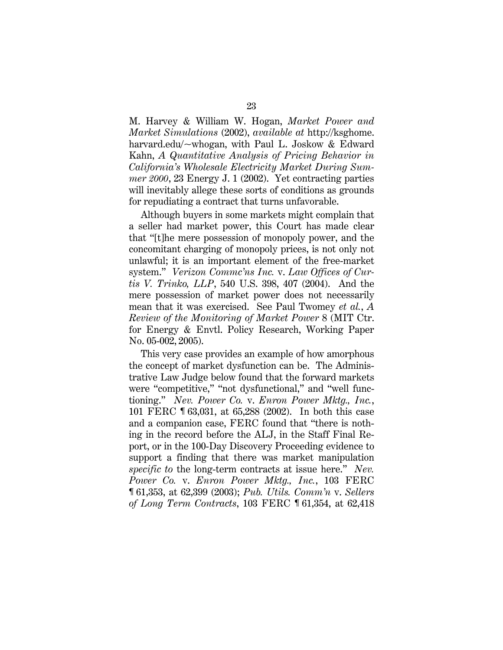M. Harvey & William W. Hogan, *Market Power and Market Simulations* (2002), *available at* http://ksghome. harvard.edu/~whogan, with Paul L. Joskow & Edward Kahn, *A Quantitative Analysis of Pricing Behavior in California's Wholesale Electricity Market During Summer 2000*, 23 Energy J. 1 (2002). Yet contracting parties will inevitably allege these sorts of conditions as grounds for repudiating a contract that turns unfavorable.

Although buyers in some markets might complain that a seller had market power, this Court has made clear that "[t]he mere possession of monopoly power, and the concomitant charging of monopoly prices, is not only not unlawful; it is an important element of the free-market system." *Verizon Commc'ns Inc.* v. *Law Offices of Curtis V. Trinko, LLP*, 540 U.S. 398, 407 (2004). And the mere possession of market power does not necessarily mean that it was exercised. See Paul Twomey *et al.*, *A Review of the Monitoring of Market Power* 8 (MIT Ctr. for Energy & Envtl. Policy Research, Working Paper No. 05-002, 2005).

This very case provides an example of how amorphous the concept of market dysfunction can be. The Administrative Law Judge below found that the forward markets were "competitive," "not dysfunctional," and "well functioning." *Nev. Power Co.* v. *Enron Power Mktg., Inc.*, 101 FERC ¶ 63,031, at 65,288 (2002). In both this case and a companion case, FERC found that "there is nothing in the record before the ALJ, in the Staff Final Report, or in the 100-Day Discovery Proceeding evidence to support a finding that there was market manipulation *specific to* the long-term contracts at issue here." *Nev. Power Co.* v. *Enron Power Mktg., Inc.*, 103 FERC ¶ 61,353, at 62,399 (2003); *Pub. Utils. Comm'n* v. *Sellers of Long Term Contracts*, 103 FERC ¶ 61,354, at 62,418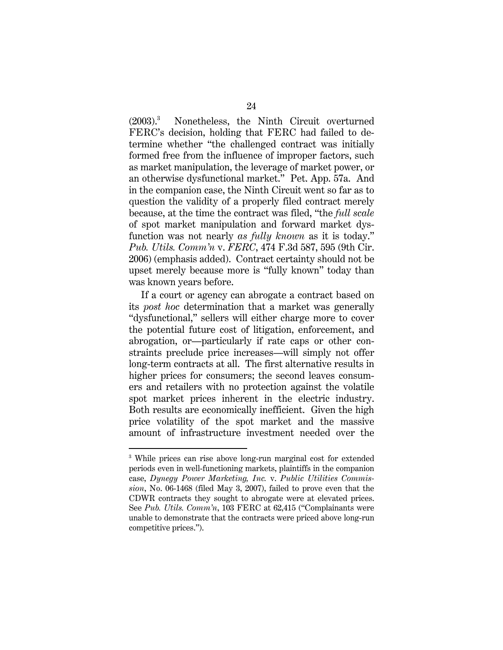$(2003)^{3}$  Nonetheless, the Ninth Circuit overturned FERC's decision, holding that FERC had failed to determine whether "the challenged contract was initially formed free from the influence of improper factors, such as market manipulation, the leverage of market power, or an otherwise dysfunctional market." Pet. App. 57a. And in the companion case, the Ninth Circuit went so far as to question the validity of a properly filed contract merely because, at the time the contract was filed, "the *full scale*  of spot market manipulation and forward market dysfunction was not nearly *as fully known* as it is today." *Pub. Utils. Comm'n* v. *FERC*, 474 F.3d 587, 595 (9th Cir. 2006) (emphasis added). Contract certainty should not be upset merely because more is "fully known" today than was known years before.

If a court or agency can abrogate a contract based on its *post hoc* determination that a market was generally "dysfunctional," sellers will either charge more to cover the potential future cost of litigation, enforcement, and abrogation, or—particularly if rate caps or other constraints preclude price increases—will simply not offer long-term contracts at all. The first alternative results in higher prices for consumers; the second leaves consumers and retailers with no protection against the volatile spot market prices inherent in the electric industry. Both results are economically inefficient. Given the high price volatility of the spot market and the massive amount of infrastructure investment needed over the

-

<sup>&</sup>lt;sup>3</sup> While prices can rise above long-run marginal cost for extended periods even in well-functioning markets, plaintiffs in the companion case, *Dynegy Power Marketing, Inc.* v. *Public Utilities Commission*, No. 06-1468 (filed May 3, 2007), failed to prove even that the CDWR contracts they sought to abrogate were at elevated prices. See *Pub. Utils. Comm'n*, 103 FERC at 62,415 ("Complainants were unable to demonstrate that the contracts were priced above long-run competitive prices.").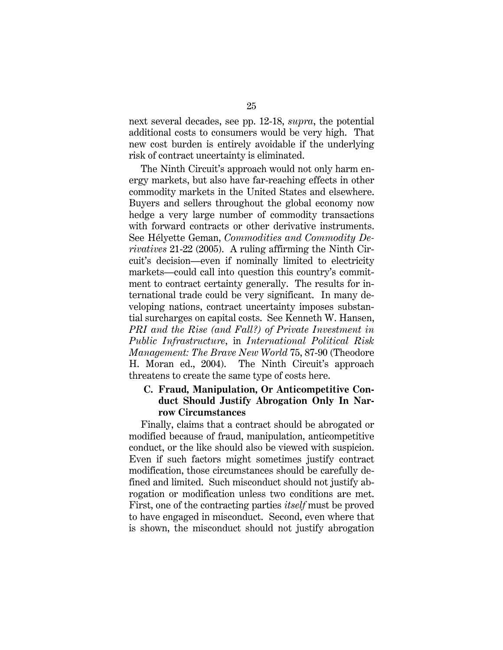next several decades, see pp. 12-18, *supra*, the potential additional costs to consumers would be very high. That new cost burden is entirely avoidable if the underlying risk of contract uncertainty is eliminated.

The Ninth Circuit's approach would not only harm energy markets, but also have far-reaching effects in other commodity markets in the United States and elsewhere. Buyers and sellers throughout the global economy now hedge a very large number of commodity transactions with forward contracts or other derivative instruments. See Hélyette Geman, *Commodities and Commodity Derivatives* 21-22 (2005). A ruling affirming the Ninth Circuit's decision—even if nominally limited to electricity markets—could call into question this country's commitment to contract certainty generally. The results for international trade could be very significant. In many developing nations, contract uncertainty imposes substantial surcharges on capital costs. See Kenneth W. Hansen, *PRI and the Rise (and Fall?) of Private Investment in Public Infrastructure*, in *International Political Risk Management: The Brave New World* 75, 87-90 (Theodore H. Moran ed., 2004). The Ninth Circuit's approach threatens to create the same type of costs here.

## **C. Fraud, Manipulation, Or Anticompetitive Conduct Should Justify Abrogation Only In Narrow Circumstances**

Finally, claims that a contract should be abrogated or modified because of fraud, manipulation, anticompetitive conduct, or the like should also be viewed with suspicion. Even if such factors might sometimes justify contract modification, those circumstances should be carefully defined and limited. Such misconduct should not justify abrogation or modification unless two conditions are met. First, one of the contracting parties *itself* must be proved to have engaged in misconduct. Second, even where that is shown, the misconduct should not justify abrogation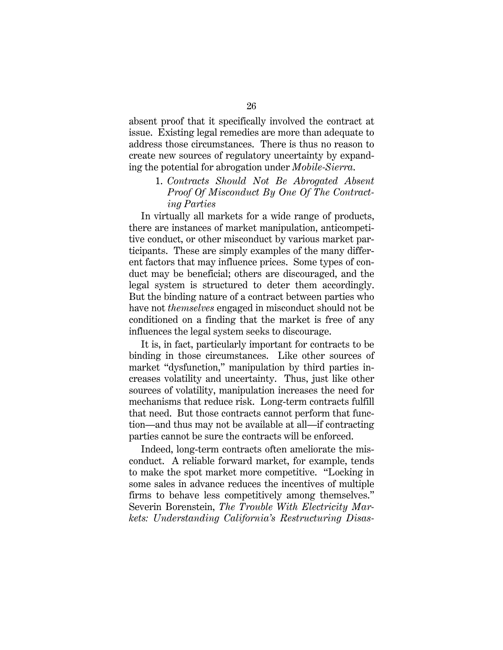absent proof that it specifically involved the contract at issue. Existing legal remedies are more than adequate to address those circumstances. There is thus no reason to create new sources of regulatory uncertainty by expanding the potential for abrogation under *Mobile-Sierra*.

## 1. *Contracts Should Not Be Abrogated Absent Proof Of Misconduct By One Of The Contracting Parties*

In virtually all markets for a wide range of products, there are instances of market manipulation, anticompetitive conduct, or other misconduct by various market participants. These are simply examples of the many different factors that may influence prices. Some types of conduct may be beneficial; others are discouraged, and the legal system is structured to deter them accordingly. But the binding nature of a contract between parties who have not *themselves* engaged in misconduct should not be conditioned on a finding that the market is free of any influences the legal system seeks to discourage.

It is, in fact, particularly important for contracts to be binding in those circumstances. Like other sources of market "dysfunction," manipulation by third parties increases volatility and uncertainty. Thus, just like other sources of volatility, manipulation increases the need for mechanisms that reduce risk. Long-term contracts fulfill that need. But those contracts cannot perform that function—and thus may not be available at all—if contracting parties cannot be sure the contracts will be enforced.

Indeed, long-term contracts often ameliorate the misconduct. A reliable forward market, for example, tends to make the spot market more competitive. "Locking in some sales in advance reduces the incentives of multiple firms to behave less competitively among themselves." Severin Borenstein, *The Trouble With Electricity Markets: Understanding California's Restructuring Disas-*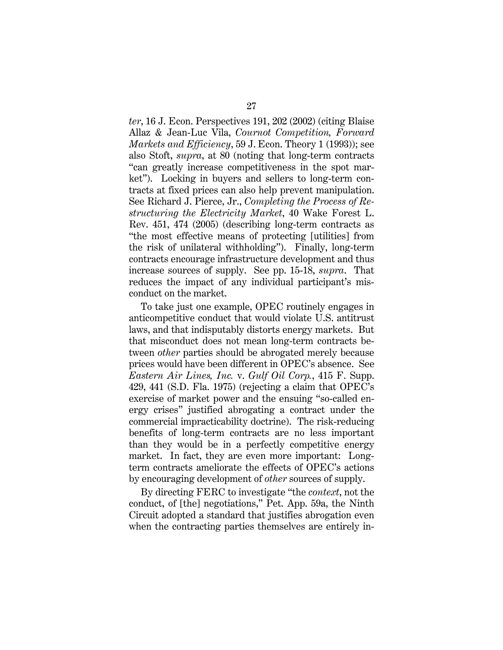*ter*, 16 J. Econ. Perspectives 191, 202 (2002) (citing Blaise Allaz & Jean-Luc Vila, *Cournot Competition, Forward Markets and Efficiency*, 59 J. Econ. Theory 1 (1993)); see also Stoft, *supra*, at 80 (noting that long-term contracts "can greatly increase competitiveness in the spot market"). Locking in buyers and sellers to long-term contracts at fixed prices can also help prevent manipulation. See Richard J. Pierce, Jr., *Completing the Process of Restructuring the Electricity Market*, 40 Wake Forest L. Rev. 451, 474 (2005) (describing long-term contracts as "the most effective means of protecting [utilities] from the risk of unilateral withholding"). Finally, long-term contracts encourage infrastructure development and thus increase sources of supply. See pp. 15-18, *supra*. That reduces the impact of any individual participant's misconduct on the market.

To take just one example, OPEC routinely engages in anticompetitive conduct that would violate U.S. antitrust laws, and that indisputably distorts energy markets. But that misconduct does not mean long-term contracts between *other* parties should be abrogated merely because prices would have been different in OPEC's absence. See *Eastern Air Lines, Inc.* v. *Gulf Oil Corp.*, 415 F. Supp. 429, 441 (S.D. Fla. 1975) (rejecting a claim that OPEC's exercise of market power and the ensuing "so-called energy crises" justified abrogating a contract under the commercial impracticability doctrine). The risk-reducing benefits of long-term contracts are no less important than they would be in a perfectly competitive energy market. In fact, they are even more important: Longterm contracts ameliorate the effects of OPEC's actions by encouraging development of *other* sources of supply.

By directing FERC to investigate "the *context*, not the conduct, of [the] negotiations," Pet. App. 59a, the Ninth Circuit adopted a standard that justifies abrogation even when the contracting parties themselves are entirely in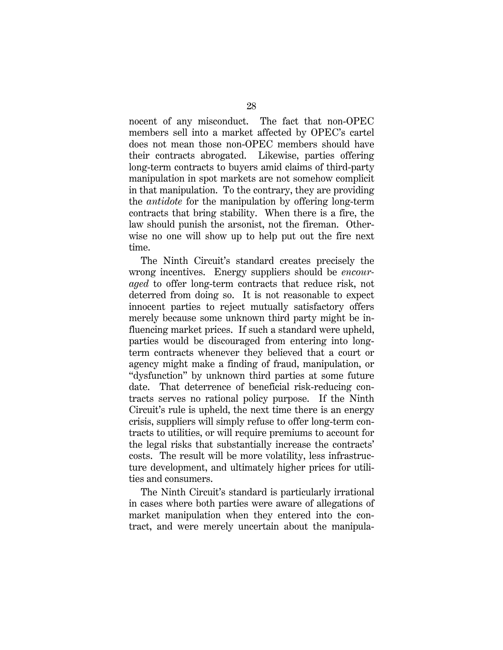nocent of any misconduct. The fact that non-OPEC members sell into a market affected by OPEC's cartel does not mean those non-OPEC members should have their contracts abrogated. Likewise, parties offering long-term contracts to buyers amid claims of third-party manipulation in spot markets are not somehow complicit in that manipulation. To the contrary, they are providing the *antidote* for the manipulation by offering long-term contracts that bring stability. When there is a fire, the law should punish the arsonist, not the fireman. Otherwise no one will show up to help put out the fire next time.

The Ninth Circuit's standard creates precisely the wrong incentives. Energy suppliers should be *encouraged* to offer long-term contracts that reduce risk, not deterred from doing so. It is not reasonable to expect innocent parties to reject mutually satisfactory offers merely because some unknown third party might be influencing market prices. If such a standard were upheld, parties would be discouraged from entering into longterm contracts whenever they believed that a court or agency might make a finding of fraud, manipulation, or "dysfunction" by unknown third parties at some future date. That deterrence of beneficial risk-reducing contracts serves no rational policy purpose. If the Ninth Circuit's rule is upheld, the next time there is an energy crisis, suppliers will simply refuse to offer long-term contracts to utilities, or will require premiums to account for the legal risks that substantially increase the contracts' costs. The result will be more volatility, less infrastructure development, and ultimately higher prices for utilities and consumers.

The Ninth Circuit's standard is particularly irrational in cases where both parties were aware of allegations of market manipulation when they entered into the contract, and were merely uncertain about the manipula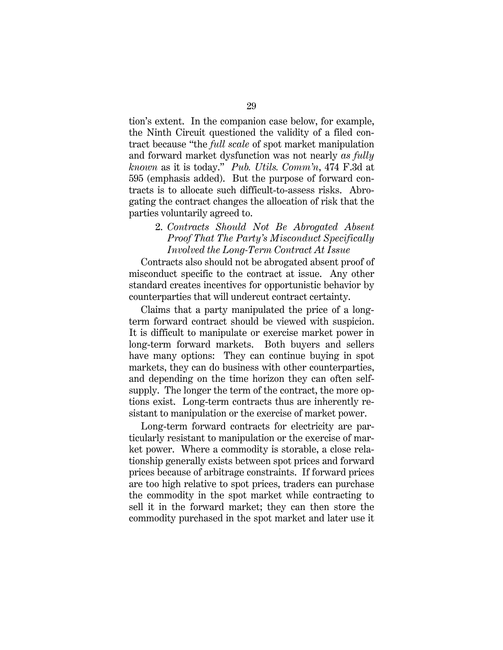tion's extent. In the companion case below, for example, the Ninth Circuit questioned the validity of a filed contract because "the *full scale* of spot market manipulation and forward market dysfunction was not nearly *as fully known* as it is today." *Pub. Utils. Comm'n*, 474 F.3d at 595 (emphasis added). But the purpose of forward contracts is to allocate such difficult-to-assess risks. Abrogating the contract changes the allocation of risk that the parties voluntarily agreed to.

## 2. *Contracts Should Not Be Abrogated Absent Proof That The Party's Misconduct Specifically Involved the Long-Term Contract At Issue*

Contracts also should not be abrogated absent proof of misconduct specific to the contract at issue. Any other standard creates incentives for opportunistic behavior by counterparties that will undercut contract certainty.

Claims that a party manipulated the price of a longterm forward contract should be viewed with suspicion. It is difficult to manipulate or exercise market power in long-term forward markets. Both buyers and sellers have many options: They can continue buying in spot markets, they can do business with other counterparties, and depending on the time horizon they can often selfsupply. The longer the term of the contract, the more options exist. Long-term contracts thus are inherently resistant to manipulation or the exercise of market power.

Long-term forward contracts for electricity are particularly resistant to manipulation or the exercise of market power. Where a commodity is storable, a close relationship generally exists between spot prices and forward prices because of arbitrage constraints. If forward prices are too high relative to spot prices, traders can purchase the commodity in the spot market while contracting to sell it in the forward market; they can then store the commodity purchased in the spot market and later use it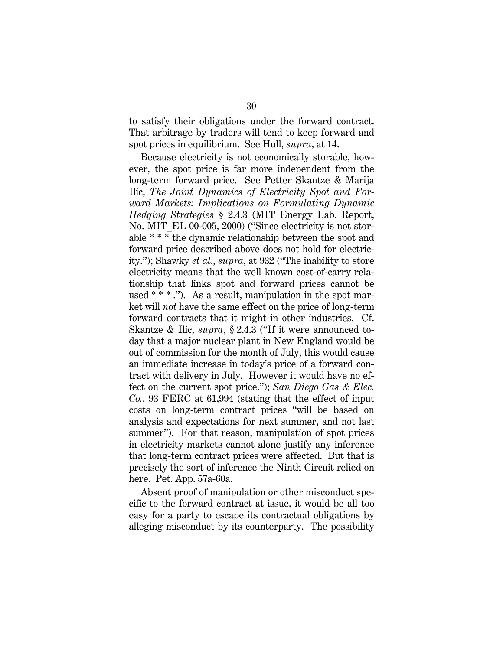to satisfy their obligations under the forward contract. That arbitrage by traders will tend to keep forward and spot prices in equilibrium. See Hull, *supra*, at 14.

Because electricity is not economically storable, however, the spot price is far more independent from the long-term forward price. See Petter Skantze & Marija Ilic, *The Joint Dynamics of Electricity Spot and Forward Markets: Implications on Formulating Dynamic Hedging Strategies* § 2.4.3 (MIT Energy Lab. Report, No. MIT\_EL 00-005, 2000) ("Since electricity is not storable \* \* \* the dynamic relationship between the spot and forward price described above does not hold for electricity."); Shawky *et al*., *supra*, at 932 ("The inability to store electricity means that the well known cost-of-carry relationship that links spot and forward prices cannot be used  $***$  ."). As a result, manipulation in the spot market will *not* have the same effect on the price of long-term forward contracts that it might in other industries. Cf. Skantze & Ilic, *supra*, § 2.4.3 ("If it were announced today that a major nuclear plant in New England would be out of commission for the month of July, this would cause an immediate increase in today's price of a forward contract with delivery in July. However it would have no effect on the current spot price."); *San Diego Gas & Elec. Co.*, 93 FERC at 61,994 (stating that the effect of input costs on long-term contract prices "will be based on analysis and expectations for next summer, and not last summer"). For that reason, manipulation of spot prices in electricity markets cannot alone justify any inference that long-term contract prices were affected. But that is precisely the sort of inference the Ninth Circuit relied on here. Pet. App. 57a-60a.

Absent proof of manipulation or other misconduct specific to the forward contract at issue, it would be all too easy for a party to escape its contractual obligations by alleging misconduct by its counterparty. The possibility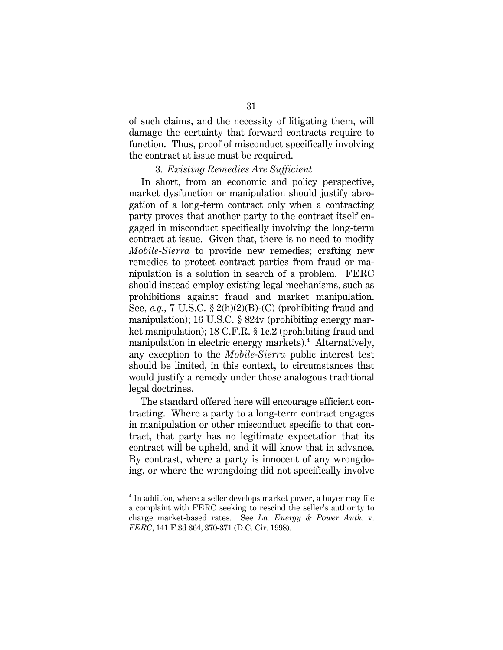of such claims, and the necessity of litigating them, will damage the certainty that forward contracts require to function. Thus, proof of misconduct specifically involving the contract at issue must be required.

#### 3. *Existing Remedies Are Sufficient*

In short, from an economic and policy perspective, market dysfunction or manipulation should justify abrogation of a long-term contract only when a contracting party proves that another party to the contract itself engaged in misconduct specifically involving the long-term contract at issue. Given that, there is no need to modify *Mobile-Sierra* to provide new remedies; crafting new remedies to protect contract parties from fraud or manipulation is a solution in search of a problem. FERC should instead employ existing legal mechanisms, such as prohibitions against fraud and market manipulation. See, *e.g.*, 7 U.S.C. § 2(h)(2)(B)-(C) (prohibiting fraud and manipulation); 16 U.S.C. § 824v (prohibiting energy market manipulation); 18 C.F.R. § 1c.2 (prohibiting fraud and manipulation in electric energy markets).<sup>4</sup> Alternatively, any exception to the *Mobile-Sierra* public interest test should be limited, in this context, to circumstances that would justify a remedy under those analogous traditional legal doctrines.

The standard offered here will encourage efficient contracting. Where a party to a long-term contract engages in manipulation or other misconduct specific to that contract, that party has no legitimate expectation that its contract will be upheld, and it will know that in advance. By contrast, where a party is innocent of any wrongdoing, or where the wrongdoing did not specifically involve

<u>.</u>

<sup>&</sup>lt;sup>4</sup> In addition, where a seller develops market power, a buyer may file a complaint with FERC seeking to rescind the seller's authority to charge market-based rates. See *La. Energy & Power Auth.* v. *FERC*, 141 F.3d 364, 370-371 (D.C. Cir. 1998).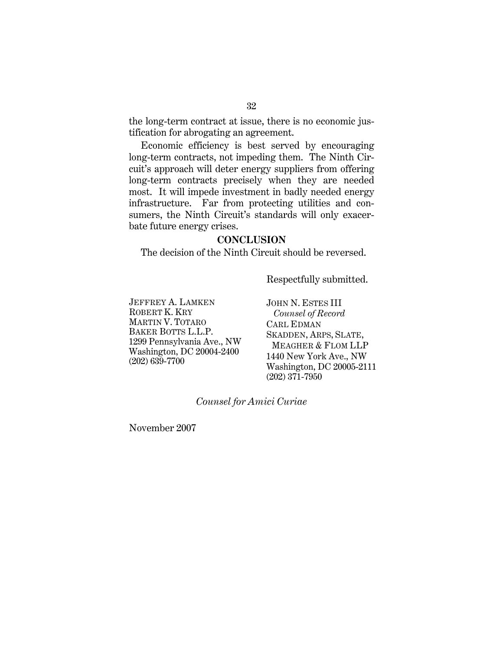the long-term contract at issue, there is no economic justification for abrogating an agreement.

Economic efficiency is best served by encouraging long-term contracts, not impeding them. The Ninth Circuit's approach will deter energy suppliers from offering long-term contracts precisely when they are needed most. It will impede investment in badly needed energy infrastructure. Far from protecting utilities and consumers, the Ninth Circuit's standards will only exacerbate future energy crises.

#### **CONCLUSION**

The decision of the Ninth Circuit should be reversed.

Respectfully submitted.

JEFFREY A. LAMKEN ROBERT K. KRY MARTIN V. TOTARO BAKER BOTTS L.L.P. 1299 Pennsylvania Ave., NW Washington, DC 20004-2400 (202) 639-7700

JOHN N. ESTES III *Counsel of Record*  CARL EDMAN SKADDEN, ARPS, SLATE, MEAGHER & FLOM LLP 1440 New York Ave., NW Washington, DC 20005-2111 (202) 371-7950

*Counsel for Amici Curiae* 

November 2007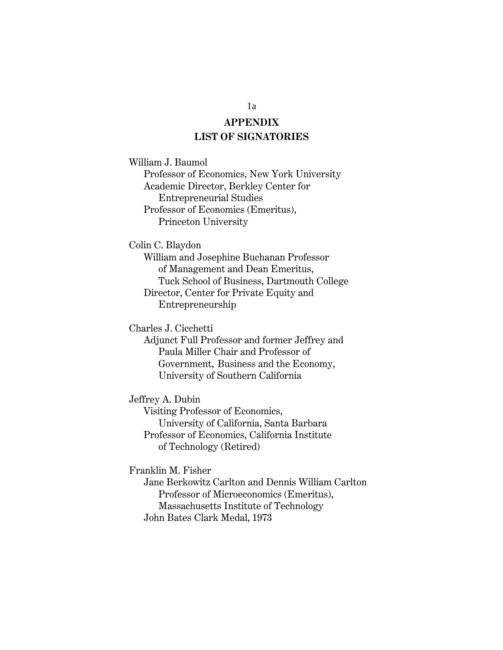## **APPENDIX LIST OF SIGNATORIES**

William J. Baumol

Professor of Economics, New York University Academic Director, Berkley Center for Entrepreneurial Studies Professor of Economics (Emeritus), Princeton University

Colin C. Blaydon

William and Josephine Buchanan Professor of Management and Dean Emeritus, Tuck School of Business, Dartmouth College Director, Center for Private Equity and Entrepreneurship

Charles J. Cicchetti

Adjunct Full Professor and former Jeffrey and Paula Miller Chair and Professor of Government, Business and the Economy, University of Southern California

Jeffrey A. Dubin

Visiting Professor of Economics, University of California, Santa Barbara Professor of Economics, California Institute of Technology (Retired)

Franklin M. Fisher

Jane Berkowitz Carlton and Dennis William Carlton Professor of Microeconomics (Emeritus), Massachusetts Institute of Technology John Bates Clark Medal, 1973

1a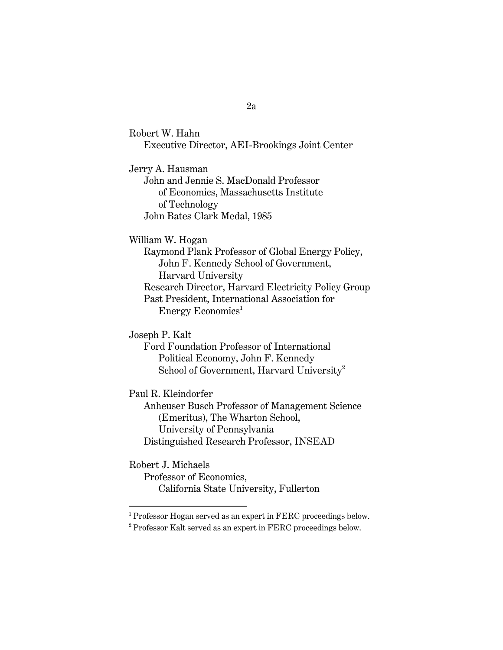Robert W. Hahn Executive Director, AEI-Brookings Joint Center

Jerry A. Hausman

John and Jennie S. MacDonald Professor of Economics, Massachusetts Institute of Technology John Bates Clark Medal, 1985

William W. Hogan

Raymond Plank Professor of Global Energy Policy, John F. Kennedy School of Government, Harvard University Research Director, Harvard Electricity Policy Group Past President, International Association for Energy Economics<sup>1</sup>

Joseph P. Kalt

Ford Foundation Professor of International Political Economy, John F. Kennedy School of Government, Harvard University<sup>2</sup>

Paul R. Kleindorfer

Anheuser Busch Professor of Management Science (Emeritus), The Wharton School, University of Pennsylvania Distinguished Research Professor, INSEAD

Robert J. Michaels

<u>.</u>

Professor of Economics, California State University, Fullerton

2a

<sup>&</sup>lt;sup>1</sup> Professor Hogan served as an expert in FERC proceedings below.

<sup>&</sup>lt;sup>2</sup> Professor Kalt served as an expert in FERC proceedings below.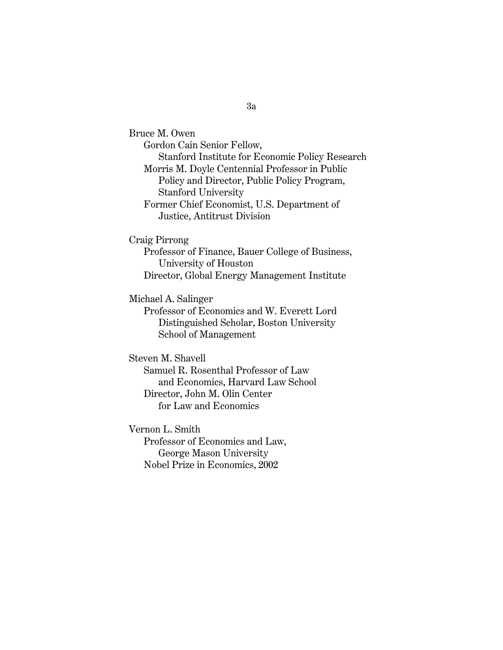Bruce M. Owen Gordon Cain Senior Fellow, Stanford Institute for Economic Policy Research Morris M. Doyle Centennial Professor in Public Policy and Director, Public Policy Program, Stanford University Former Chief Economist, U.S. Department of Justice, Antitrust Division

Craig Pirrong

Professor of Finance, Bauer College of Business, University of Houston Director, Global Energy Management Institute

Michael A. Salinger

Professor of Economics and W. Everett Lord Distinguished Scholar, Boston University School of Management

Steven M. Shavell Samuel R. Rosenthal Professor of Law and Economics, Harvard Law School Director, John M. Olin Center for Law and Economics

Vernon L. Smith Professor of Economics and Law, George Mason University Nobel Prize in Economics, 2002